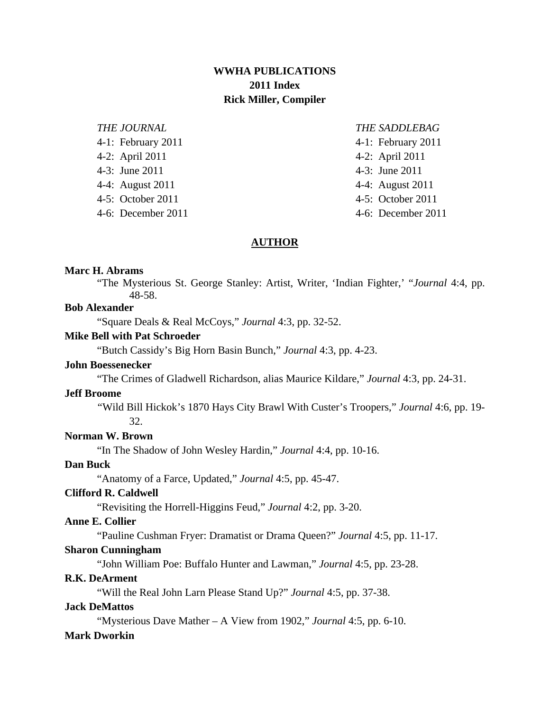## **WWHA PUBLICATIONS 2011 Index Rick Miller, Compiler**

# *THE JOURNAL THE SADDLEBAG* 4-2: April 2011 4-2: April 2011 4-3: June 2011 4-3: June 2011 4-4: August 2011 4-4: August 2011 4-5: October 2011 4-5: October 2011 4-6: December 2011 4-6: December 2011

4-1: February 2011 4-1: February 2011

## **AUTHOR**

## **Marc H. Abrams**

"The Mysterious St. George Stanley: Artist, Writer, 'Indian Fighter,' "*Journal* 4:4, pp. 48-58.

## **Bob Alexander**

"Square Deals & Real McCoys," *Journal* 4:3, pp. 32-52.

## **Mike Bell with Pat Schroeder**

"Butch Cassidy's Big Horn Basin Bunch," *Journal* 4:3, pp. 4-23.

## **John Boessenecker**

"The Crimes of Gladwell Richardson, alias Maurice Kildare," *Journal* 4:3, pp. 24-31.

## **Jeff Broome**

"Wild Bill Hickok's 1870 Hays City Brawl With Custer's Troopers," *Journal* 4:6, pp. 19- 32.

## **Norman W. Brown**

"In The Shadow of John Wesley Hardin," *Journal* 4:4, pp. 10-16.

## **Dan Buck**

"Anatomy of a Farce, Updated," *Journal* 4:5, pp. 45-47.

## **Clifford R. Caldwell**

"Revisiting the Horrell-Higgins Feud," *Journal* 4:2, pp. 3-20.

## **Anne E. Collier**

"Pauline Cushman Fryer: Dramatist or Drama Queen?" *Journal* 4:5, pp. 11-17.

## **Sharon Cunningham**

"John William Poe: Buffalo Hunter and Lawman," *Journal* 4:5, pp. 23-28.

## **R.K. DeArment**

"Will the Real John Larn Please Stand Up?" *Journal* 4:5, pp. 37-38.

## **Jack DeMattos**

"Mysterious Dave Mather – A View from 1902," *Journal* 4:5, pp. 6-10.

## **Mark Dworkin**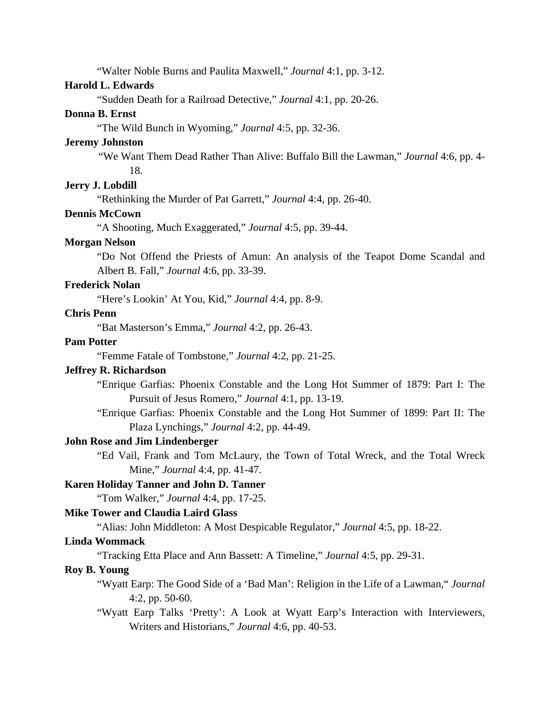"Walter Noble Burns and Paulita Maxwell," *Journal* 4:1, pp. 3-12.

## **Harold L. Edwards**

"Sudden Death for a Railroad Detective," *Journal* 4:1, pp. 20-26.

## **Donna B. Ernst**

"The Wild Bunch in Wyoming," *Journal* 4:5, pp. 32-36.

#### **Jeremy Johnston**

 "We Want Them Dead Rather Than Alive: Buffalo Bill the Lawman," *Journal* 4:6, pp. 4- 18.

## **Jerry J. Lobdill**

"Rethinking the Murder of Pat Garrett," *Journal* 4:4, pp. 26-40.

## **Dennis McCown**

"A Shooting, Much Exaggerated," *Journal* 4:5, pp. 39-44.

## **Morgan Nelson**

"Do Not Offend the Priests of Amun: An analysis of the Teapot Dome Scandal and Albert B. Fall," *Journal* 4:6, pp. 33-39.

## **Frederick Nolan**

"Here's Lookin' At You, Kid," *Journal* 4:4, pp. 8-9.

## **Chris Penn**

"Bat Masterson's Emma," *Journal* 4:2, pp. 26-43.

## **Pam Potter**

"Femme Fatale of Tombstone," *Journal* 4:2, pp. 21-25.

## **Jeffrey R. Richardson**

 "Enrique Garfias: Phoenix Constable and the Long Hot Summer of 1879: Part I: The Pursuit of Jesus Romero," *Journal* 4:1, pp. 13-19.

 "Enrique Garfias: Phoenix Constable and the Long Hot Summer of 1899: Part II: The Plaza Lynchings," *Journal* 4:2, pp. 44-49.

## **John Rose and Jim Lindenberger**

 "Ed Vail, Frank and Tom McLaury, the Town of Total Wreck, and the Total Wreck Mine," *Journal* 4:4, pp. 41-47.

## **Karen Holiday Tanner and John D. Tanner**

"Tom Walker," *Journal* 4:4, pp. 17-25.

## **Mike Tower and Claudia Laird Glass**

"Alias: John Middleton: A Most Despicable Regulator," *Journal* 4:5, pp. 18-22.

## **Linda Wommack**

"Tracking Etta Place and Ann Bassett: A Timeline," *Journal* 4:5, pp. 29-31.

## **Roy B. Young**

 "Wyatt Earp: The Good Side of a 'Bad Man': Religion in the Life of a Lawman," *Journal* 4:2, pp. 50-60.

 "Wyatt Earp Talks 'Pretty': A Look at Wyatt Earp's Interaction with Interviewers, Writers and Historians," *Journal* 4:6, pp. 40-53.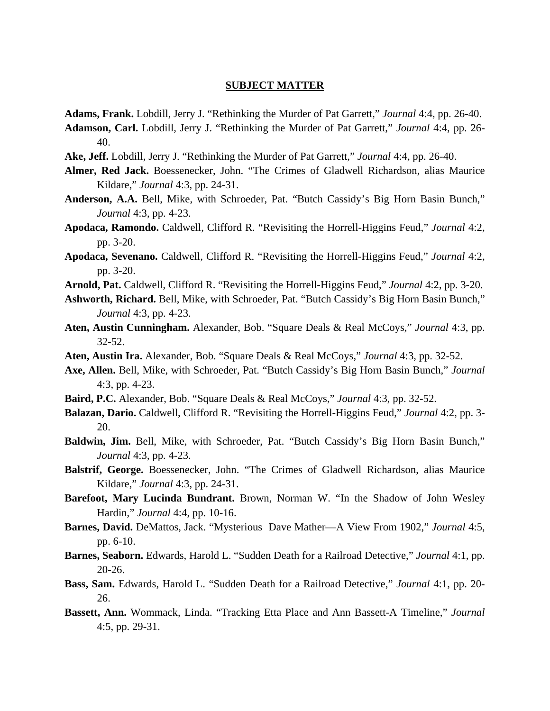#### **SUBJECT MATTER**

- **Adams, Frank.** Lobdill, Jerry J. "Rethinking the Murder of Pat Garrett," *Journal* 4:4, pp. 26-40.
- **Adamson, Carl.** Lobdill, Jerry J. "Rethinking the Murder of Pat Garrett," *Journal* 4:4, pp. 26- 40.
- **Ake, Jeff.** Lobdill, Jerry J. "Rethinking the Murder of Pat Garrett," *Journal* 4:4, pp. 26-40.
- **Almer, Red Jack.** Boessenecker, John. "The Crimes of Gladwell Richardson, alias Maurice Kildare," *Journal* 4:3, pp. 24-31.
- **Anderson, A.A.** Bell, Mike, with Schroeder, Pat. "Butch Cassidy's Big Horn Basin Bunch," *Journal* 4:3, pp. 4-23.
- **Apodaca, Ramondo.** Caldwell, Clifford R. "Revisiting the Horrell-Higgins Feud," *Journal* 4:2, pp. 3-20.
- **Apodaca, Sevenano.** Caldwell, Clifford R. "Revisiting the Horrell-Higgins Feud," *Journal* 4:2, pp. 3-20.
- **Arnold, Pat.** Caldwell, Clifford R. "Revisiting the Horrell-Higgins Feud," *Journal* 4:2, pp. 3-20.
- **Ashworth, Richard.** Bell, Mike, with Schroeder, Pat. "Butch Cassidy's Big Horn Basin Bunch," *Journal* 4:3, pp. 4-23.
- **Aten, Austin Cunningham.** Alexander, Bob. "Square Deals & Real McCoys," *Journal* 4:3, pp. 32-52.
- **Aten, Austin Ira.** Alexander, Bob. "Square Deals & Real McCoys," *Journal* 4:3, pp. 32-52.
- **Axe, Allen.** Bell, Mike, with Schroeder, Pat. "Butch Cassidy's Big Horn Basin Bunch," *Journal* 4:3, pp. 4-23.
- **Baird, P.C.** Alexander, Bob. "Square Deals & Real McCoys," *Journal* 4:3, pp. 32-52.
- **Balazan, Dario.** Caldwell, Clifford R. "Revisiting the Horrell-Higgins Feud," *Journal* 4:2, pp. 3- 20.
- **Baldwin, Jim.** Bell, Mike, with Schroeder, Pat. "Butch Cassidy's Big Horn Basin Bunch," *Journal* 4:3, pp. 4-23.
- **Balstrif, George.** Boessenecker, John. "The Crimes of Gladwell Richardson, alias Maurice Kildare," *Journal* 4:3, pp. 24-31.
- **Barefoot, Mary Lucinda Bundrant.** Brown, Norman W. "In the Shadow of John Wesley Hardin," *Journal* 4:4, pp. 10-16.
- **Barnes, David.** DeMattos, Jack. "Mysterious Dave Mather—A View From 1902," *Journal* 4:5, pp. 6-10.
- **Barnes, Seaborn.** Edwards, Harold L. "Sudden Death for a Railroad Detective," *Journal* 4:1, pp.  $20 - 26$ .
- **Bass, Sam.** Edwards, Harold L. "Sudden Death for a Railroad Detective," *Journal* 4:1, pp. 20- 26.
- **Bassett, Ann.** Wommack, Linda. "Tracking Etta Place and Ann Bassett-A Timeline," *Journal* 4:5, pp. 29-31.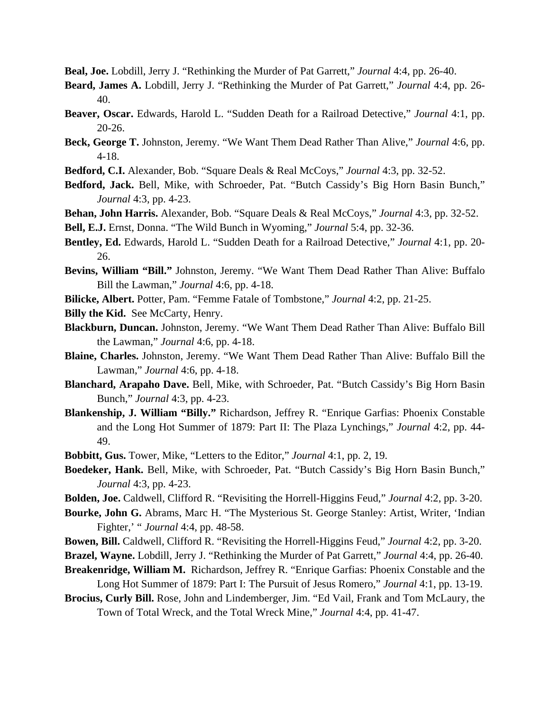**Beal, Joe.** Lobdill, Jerry J. "Rethinking the Murder of Pat Garrett," *Journal* 4:4, pp. 26-40.

- **Beard, James A.** Lobdill, Jerry J. "Rethinking the Murder of Pat Garrett," *Journal* 4:4, pp. 26- 40.
- **Beaver, Oscar.** Edwards, Harold L. "Sudden Death for a Railroad Detective," *Journal* 4:1, pp. 20-26.
- **Beck, George T.** Johnston, Jeremy. "We Want Them Dead Rather Than Alive," *Journal* 4:6, pp. 4-18.
- **Bedford, C.I.** Alexander, Bob. "Square Deals & Real McCoys," *Journal* 4:3, pp. 32-52.
- **Bedford, Jack.** Bell, Mike, with Schroeder, Pat. "Butch Cassidy's Big Horn Basin Bunch," *Journal* 4:3, pp. 4-23.
- **Behan, John Harris.** Alexander, Bob. "Square Deals & Real McCoys," *Journal* 4:3, pp. 32-52.
- **Bell, E.J.** Ernst, Donna. "The Wild Bunch in Wyoming," *Journal* 5:4, pp. 32-36.
- **Bentley, Ed.** Edwards, Harold L. "Sudden Death for a Railroad Detective," *Journal* 4:1, pp. 20- 26.
- **Bevins, William "Bill."** Johnston, Jeremy. "We Want Them Dead Rather Than Alive: Buffalo Bill the Lawman," *Journal* 4:6, pp. 4-18.
- **Bilicke, Albert.** Potter, Pam. "Femme Fatale of Tombstone," *Journal* 4:2, pp. 21-25.
- **Billy the Kid.** See McCarty, Henry.
- **Blackburn, Duncan.** Johnston, Jeremy. "We Want Them Dead Rather Than Alive: Buffalo Bill the Lawman," *Journal* 4:6, pp. 4-18.
- **Blaine, Charles.** Johnston, Jeremy. "We Want Them Dead Rather Than Alive: Buffalo Bill the Lawman," *Journal* 4:6, pp. 4-18.
- **Blanchard, Arapaho Dave.** Bell, Mike, with Schroeder, Pat. "Butch Cassidy's Big Horn Basin Bunch," *Journal* 4:3, pp. 4-23.
- **Blankenship, J. William "Billy."** Richardson, Jeffrey R. "Enrique Garfias: Phoenix Constable and the Long Hot Summer of 1879: Part II: The Plaza Lynchings," *Journal* 4:2, pp. 44- 49.
- **Bobbitt, Gus.** Tower, Mike, "Letters to the Editor," *Journal* 4:1, pp. 2, 19.
- **Boedeker, Hank.** Bell, Mike, with Schroeder, Pat. "Butch Cassidy's Big Horn Basin Bunch," *Journal* 4:3, pp. 4-23.
- **Bolden, Joe.** Caldwell, Clifford R. "Revisiting the Horrell-Higgins Feud," *Journal* 4:2, pp. 3-20.
- **Bourke, John G.** Abrams, Marc H. "The Mysterious St. George Stanley: Artist, Writer, 'Indian Fighter,' " *Journal* 4:4, pp. 48-58.
- **Bowen, Bill.** Caldwell, Clifford R. "Revisiting the Horrell-Higgins Feud," *Journal* 4:2, pp. 3-20.
- **Brazel, Wayne.** Lobdill, Jerry J. "Rethinking the Murder of Pat Garrett," *Journal* 4:4, pp. 26-40.
- **Breakenridge, William M.** Richardson, Jeffrey R. "Enrique Garfias: Phoenix Constable and the Long Hot Summer of 1879: Part I: The Pursuit of Jesus Romero," *Journal* 4:1, pp. 13-19.
- **Brocius, Curly Bill.** Rose, John and Lindemberger, Jim. "Ed Vail, Frank and Tom McLaury, the Town of Total Wreck, and the Total Wreck Mine," *Journal* 4:4, pp. 41-47.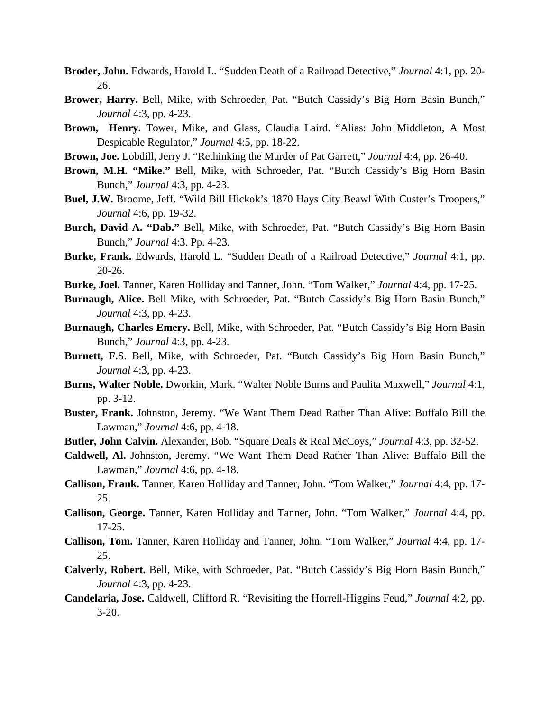- **Broder, John.** Edwards, Harold L. "Sudden Death of a Railroad Detective," *Journal* 4:1, pp. 20- 26.
- **Brower, Harry.** Bell, Mike, with Schroeder, Pat. "Butch Cassidy's Big Horn Basin Bunch," *Journal* 4:3, pp. 4-23.
- **Brown, Henry.** Tower, Mike, and Glass, Claudia Laird. "Alias: John Middleton, A Most Despicable Regulator," *Journal* 4:5, pp. 18-22.
- **Brown, Joe.** Lobdill, Jerry J. "Rethinking the Murder of Pat Garrett," *Journal* 4:4, pp. 26-40.
- **Brown, M.H. "Mike."** Bell, Mike, with Schroeder, Pat. "Butch Cassidy's Big Horn Basin Bunch," *Journal* 4:3, pp. 4-23.
- **Buel, J.W.** Broome, Jeff. "Wild Bill Hickok's 1870 Hays City Beawl With Custer's Troopers," *Journal* 4:6, pp. 19-32.
- **Burch, David A. "Dab."** Bell, Mike, with Schroeder, Pat. "Butch Cassidy's Big Horn Basin Bunch," *Journal* 4:3. Pp. 4-23.
- **Burke, Frank.** Edwards, Harold L. "Sudden Death of a Railroad Detective," *Journal* 4:1, pp. 20-26.
- **Burke, Joel.** Tanner, Karen Holliday and Tanner, John. "Tom Walker," *Journal* 4:4, pp. 17-25.
- **Burnaugh, Alice.** Bell Mike, with Schroeder, Pat. "Butch Cassidy's Big Horn Basin Bunch," *Journal* 4:3, pp. 4-23.
- **Burnaugh, Charles Emery.** Bell, Mike, with Schroeder, Pat. "Butch Cassidy's Big Horn Basin Bunch," *Journal* 4:3, pp. 4-23.
- **Burnett, F.**S. Bell, Mike, with Schroeder, Pat. "Butch Cassidy's Big Horn Basin Bunch," *Journal* 4:3, pp. 4-23.
- **Burns, Walter Noble.** Dworkin, Mark. "Walter Noble Burns and Paulita Maxwell," *Journal* 4:1, pp. 3-12.
- **Buster, Frank.** Johnston, Jeremy. "We Want Them Dead Rather Than Alive: Buffalo Bill the Lawman," *Journal* 4:6, pp. 4-18.
- **Butler, John Calvin.** Alexander, Bob. "Square Deals & Real McCoys," *Journal* 4:3, pp. 32-52.
- **Caldwell, Al.** Johnston, Jeremy. "We Want Them Dead Rather Than Alive: Buffalo Bill the Lawman," *Journal* 4:6, pp. 4-18.
- **Callison, Frank.** Tanner, Karen Holliday and Tanner, John. "Tom Walker," *Journal* 4:4, pp. 17- 25.
- **Callison, George.** Tanner, Karen Holliday and Tanner, John. "Tom Walker," *Journal* 4:4, pp. 17-25.
- **Callison, Tom.** Tanner, Karen Holliday and Tanner, John. "Tom Walker," *Journal* 4:4, pp. 17- 25.
- **Calverly, Robert.** Bell, Mike, with Schroeder, Pat. "Butch Cassidy's Big Horn Basin Bunch," *Journal* 4:3, pp. 4-23.
- **Candelaria, Jose.** Caldwell, Clifford R. "Revisiting the Horrell-Higgins Feud," *Journal* 4:2, pp. 3-20.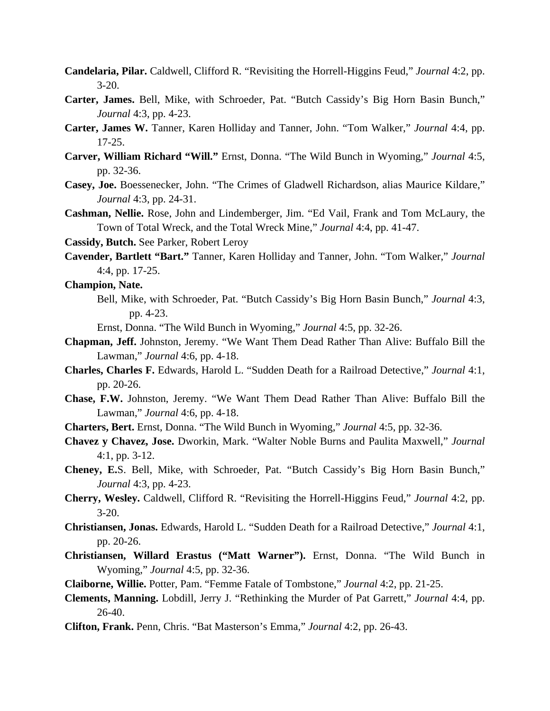- **Candelaria, Pilar.** Caldwell, Clifford R. "Revisiting the Horrell-Higgins Feud," *Journal* 4:2, pp.  $3 - 20.$
- **Carter, James.** Bell, Mike, with Schroeder, Pat. "Butch Cassidy's Big Horn Basin Bunch," *Journal* 4:3, pp. 4-23.
- **Carter, James W.** Tanner, Karen Holliday and Tanner, John. "Tom Walker," *Journal* 4:4, pp. 17-25.
- **Carver, William Richard "Will."** Ernst, Donna. "The Wild Bunch in Wyoming," *Journal* 4:5, pp. 32-36.
- **Casey, Joe.** Boessenecker, John. "The Crimes of Gladwell Richardson, alias Maurice Kildare," *Journal* 4:3, pp. 24-31.
- **Cashman, Nellie.** Rose, John and Lindemberger, Jim. "Ed Vail, Frank and Tom McLaury, the Town of Total Wreck, and the Total Wreck Mine," *Journal* 4:4, pp. 41-47.
- **Cassidy, Butch.** See Parker, Robert Leroy
- **Cavender, Bartlett "Bart."** Tanner, Karen Holliday and Tanner, John. "Tom Walker," *Journal* 4:4, pp. 17-25.

**Champion, Nate.**

 Bell, Mike, with Schroeder, Pat. "Butch Cassidy's Big Horn Basin Bunch," *Journal* 4:3, pp. 4-23.

Ernst, Donna. "The Wild Bunch in Wyoming," *Journal* 4:5, pp. 32-26.

- **Chapman, Jeff.** Johnston, Jeremy. "We Want Them Dead Rather Than Alive: Buffalo Bill the Lawman," *Journal* 4:6, pp. 4-18.
- **Charles, Charles F.** Edwards, Harold L. "Sudden Death for a Railroad Detective," *Journal* 4:1, pp. 20-26.
- **Chase, F.W.** Johnston, Jeremy. "We Want Them Dead Rather Than Alive: Buffalo Bill the Lawman," *Journal* 4:6, pp. 4-18.
- **Charters, Bert.** Ernst, Donna. "The Wild Bunch in Wyoming," *Journal* 4:5, pp. 32-36.
- **Chavez y Chavez, Jose.** Dworkin, Mark. "Walter Noble Burns and Paulita Maxwell," *Journal* 4:1, pp. 3-12.
- **Cheney, E.**S. Bell, Mike, with Schroeder, Pat. "Butch Cassidy's Big Horn Basin Bunch," *Journal* 4:3, pp. 4-23.
- **Cherry, Wesley.** Caldwell, Clifford R. "Revisiting the Horrell-Higgins Feud," *Journal* 4:2, pp. 3-20.
- **Christiansen, Jonas.** Edwards, Harold L. "Sudden Death for a Railroad Detective," *Journal* 4:1, pp. 20-26.
- **Christiansen, Willard Erastus ("Matt Warner").** Ernst, Donna. "The Wild Bunch in Wyoming," *Journal* 4:5, pp. 32-36.
- **Claiborne, Willie.** Potter, Pam. "Femme Fatale of Tombstone," *Journal* 4:2, pp. 21-25.
- **Clements, Manning.** Lobdill, Jerry J. "Rethinking the Murder of Pat Garrett," *Journal* 4:4, pp. 26-40.
- **Clifton, Frank.** Penn, Chris. "Bat Masterson's Emma," *Journal* 4:2, pp. 26-43.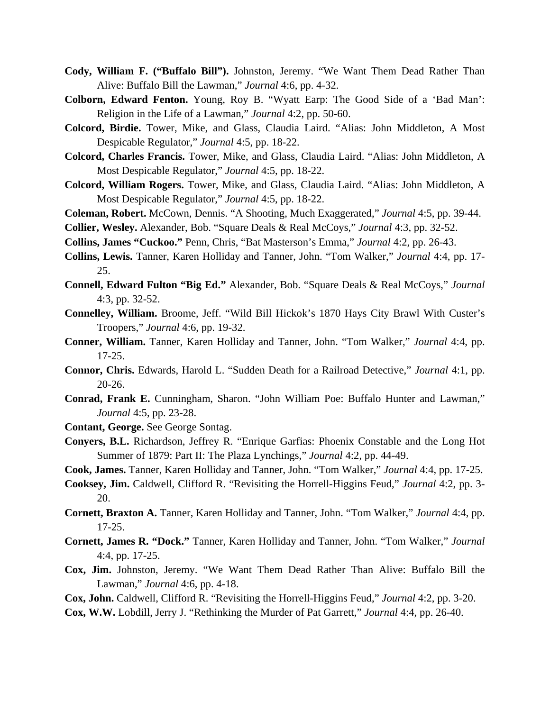- **Cody, William F. ("Buffalo Bill").** Johnston, Jeremy. "We Want Them Dead Rather Than Alive: Buffalo Bill the Lawman," *Journal* 4:6, pp. 4-32.
- **Colborn, Edward Fenton.** Young, Roy B. "Wyatt Earp: The Good Side of a 'Bad Man': Religion in the Life of a Lawman," *Journal* 4:2, pp. 50-60.
- **Colcord, Birdie.** Tower, Mike, and Glass, Claudia Laird. "Alias: John Middleton, A Most Despicable Regulator," *Journal* 4:5, pp. 18-22.
- **Colcord, Charles Francis.** Tower, Mike, and Glass, Claudia Laird. "Alias: John Middleton, A Most Despicable Regulator," *Journal* 4:5, pp. 18-22.
- **Colcord, William Rogers.** Tower, Mike, and Glass, Claudia Laird. "Alias: John Middleton, A Most Despicable Regulator," *Journal* 4:5, pp. 18-22.
- **Coleman, Robert.** McCown, Dennis. "A Shooting, Much Exaggerated," *Journal* 4:5, pp. 39-44.
- **Collier, Wesley.** Alexander, Bob. "Square Deals & Real McCoys," *Journal* 4:3, pp. 32-52.
- **Collins, James "Cuckoo."** Penn, Chris, "Bat Masterson's Emma," *Journal* 4:2, pp. 26-43.
- **Collins, Lewis.** Tanner, Karen Holliday and Tanner, John. "Tom Walker," *Journal* 4:4, pp. 17- 25.
- **Connell, Edward Fulton "Big Ed."** Alexander, Bob. "Square Deals & Real McCoys," *Journal* 4:3, pp. 32-52.
- **Connelley, William.** Broome, Jeff. "Wild Bill Hickok's 1870 Hays City Brawl With Custer's Troopers," *Journal* 4:6, pp. 19-32.
- **Conner, William.** Tanner, Karen Holliday and Tanner, John. "Tom Walker," *Journal* 4:4, pp. 17-25.
- **Connor, Chris.** Edwards, Harold L. "Sudden Death for a Railroad Detective," *Journal* 4:1, pp. 20-26.
- **Conrad, Frank E.** Cunningham, Sharon. "John William Poe: Buffalo Hunter and Lawman," *Journal* 4:5, pp. 23-28.
- **Contant, George.** See George Sontag.
- **Conyers, B.L.** Richardson, Jeffrey R. "Enrique Garfias: Phoenix Constable and the Long Hot Summer of 1879: Part II: The Plaza Lynchings," *Journal* 4:2, pp. 44-49.
- **Cook, James.** Tanner, Karen Holliday and Tanner, John. "Tom Walker," *Journal* 4:4, pp. 17-25.
- **Cooksey, Jim.** Caldwell, Clifford R. "Revisiting the Horrell-Higgins Feud," *Journal* 4:2, pp. 3- 20.
- **Cornett, Braxton A.** Tanner, Karen Holliday and Tanner, John. "Tom Walker," *Journal* 4:4, pp. 17-25.
- **Cornett, James R. "Dock."** Tanner, Karen Holliday and Tanner, John. "Tom Walker," *Journal* 4:4, pp. 17-25.
- **Cox, Jim.** Johnston, Jeremy. "We Want Them Dead Rather Than Alive: Buffalo Bill the Lawman," *Journal* 4:6, pp. 4-18.
- **Cox, John.** Caldwell, Clifford R. "Revisiting the Horrell-Higgins Feud," *Journal* 4:2, pp. 3-20.
- **Cox, W.W.** Lobdill, Jerry J. "Rethinking the Murder of Pat Garrett," *Journal* 4:4, pp. 26-40.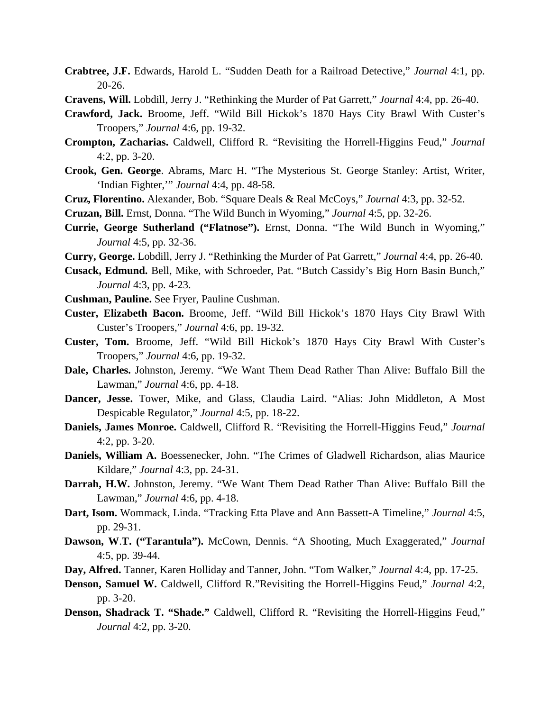- **Crabtree, J.F.** Edwards, Harold L. "Sudden Death for a Railroad Detective," *Journal* 4:1, pp. 20-26.
- **Cravens, Will.** Lobdill, Jerry J. "Rethinking the Murder of Pat Garrett," *Journal* 4:4, pp. 26-40.
- **Crawford, Jack.** Broome, Jeff. "Wild Bill Hickok's 1870 Hays City Brawl With Custer's Troopers," *Journal* 4:6, pp. 19-32.
- **Crompton, Zacharias.** Caldwell, Clifford R. "Revisiting the Horrell-Higgins Feud," *Journal* 4:2, pp. 3-20.
- **Crook, Gen. George**. Abrams, Marc H. "The Mysterious St. George Stanley: Artist, Writer, 'Indian Fighter,'" *Journal* 4:4, pp. 48-58.
- **Cruz, Florentino.** Alexander, Bob. "Square Deals & Real McCoys," *Journal* 4:3, pp. 32-52.
- **Cruzan, Bill.** Ernst, Donna. "The Wild Bunch in Wyoming," *Journal* 4:5, pp. 32-26.
- **Currie, George Sutherland ("Flatnose").** Ernst, Donna. "The Wild Bunch in Wyoming," *Journal* 4:5, pp. 32-36.
- **Curry, George.** Lobdill, Jerry J. "Rethinking the Murder of Pat Garrett," *Journal* 4:4, pp. 26-40.
- **Cusack, Edmund.** Bell, Mike, with Schroeder, Pat. "Butch Cassidy's Big Horn Basin Bunch," *Journal* 4:3, pp. 4-23.
- **Cushman, Pauline.** See Fryer, Pauline Cushman.
- **Custer, Elizabeth Bacon.** Broome, Jeff. "Wild Bill Hickok's 1870 Hays City Brawl With Custer's Troopers," *Journal* 4:6, pp. 19-32.
- **Custer, Tom.** Broome, Jeff. "Wild Bill Hickok's 1870 Hays City Brawl With Custer's Troopers," *Journal* 4:6, pp. 19-32.
- **Dale, Charles.** Johnston, Jeremy. "We Want Them Dead Rather Than Alive: Buffalo Bill the Lawman," *Journal* 4:6, pp. 4-18.
- **Dancer, Jesse.** Tower, Mike, and Glass, Claudia Laird. "Alias: John Middleton, A Most Despicable Regulator," *Journal* 4:5, pp. 18-22.
- **Daniels, James Monroe.** Caldwell, Clifford R. "Revisiting the Horrell-Higgins Feud," *Journal* 4:2, pp. 3-20.
- **Daniels, William A.** Boessenecker, John. "The Crimes of Gladwell Richardson, alias Maurice Kildare," *Journal* 4:3, pp. 24-31.
- **Darrah, H.W.** Johnston, Jeremy. "We Want Them Dead Rather Than Alive: Buffalo Bill the Lawman," *Journal* 4:6, pp. 4-18.
- **Dart, Isom.** Wommack, Linda. "Tracking Etta Plave and Ann Bassett-A Timeline," *Journal* 4:5, pp. 29-31.
- **Dawson, W**.**T. ("Tarantula").** McCown, Dennis. "A Shooting, Much Exaggerated," *Journal* 4:5, pp. 39-44.
- **Day, Alfred.** Tanner, Karen Holliday and Tanner, John. "Tom Walker," *Journal* 4:4, pp. 17-25.
- **Denson, Samuel W.** Caldwell, Clifford R."Revisiting the Horrell-Higgins Feud," *Journal* 4:2, pp. 3-20.
- **Denson, Shadrack T. "Shade."** Caldwell, Clifford R. "Revisiting the Horrell-Higgins Feud," *Journal* 4:2, pp. 3-20.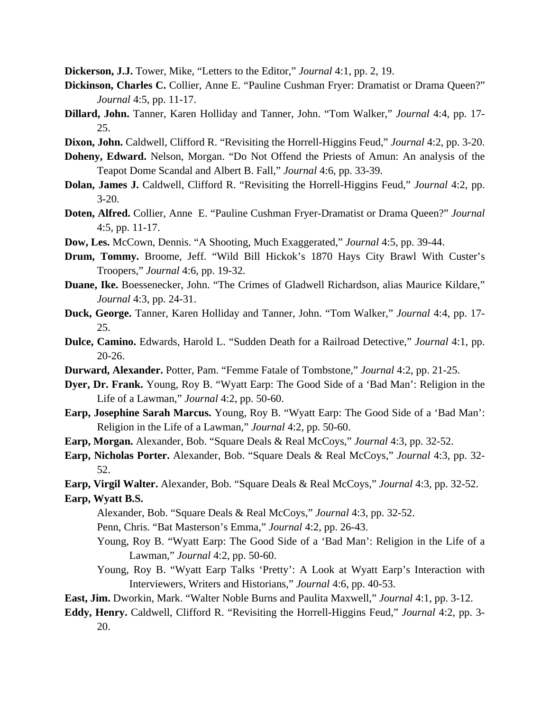**Dickerson, J.J.** Tower, Mike, "Letters to the Editor," *Journal* 4:1, pp. 2, 19.

- **Dickinson, Charles C.** Collier, Anne E. "Pauline Cushman Fryer: Dramatist or Drama Queen?" *Journal* 4:5, pp. 11-17.
- **Dillard, John.** Tanner, Karen Holliday and Tanner, John. "Tom Walker," *Journal* 4:4, pp. 17- 25.
- **Dixon, John.** Caldwell, Clifford R. "Revisiting the Horrell-Higgins Feud," *Journal* 4:2, pp. 3-20.
- **Doheny, Edward.** Nelson, Morgan. "Do Not Offend the Priests of Amun: An analysis of the Teapot Dome Scandal and Albert B. Fall," *Journal* 4:6, pp. 33-39.
- **Dolan, James J.** Caldwell, Clifford R. "Revisiting the Horrell-Higgins Feud," *Journal* 4:2, pp. 3-20.
- **Doten, Alfred.** Collier, Anne E. "Pauline Cushman Fryer-Dramatist or Drama Queen?" *Journal* 4:5, pp. 11-17.
- **Dow, Les.** McCown, Dennis. "A Shooting, Much Exaggerated," *Journal* 4:5, pp. 39-44.
- **Drum, Tommy.** Broome, Jeff. "Wild Bill Hickok's 1870 Hays City Brawl With Custer's Troopers," *Journal* 4:6, pp. 19-32.
- **Duane, Ike.** Boessenecker, John. "The Crimes of Gladwell Richardson, alias Maurice Kildare," *Journal* 4:3, pp. 24-31.
- **Duck, George.** Tanner, Karen Holliday and Tanner, John. "Tom Walker," *Journal* 4:4, pp. 17- 25.
- **Dulce, Camino.** Edwards, Harold L. "Sudden Death for a Railroad Detective," *Journal* 4:1, pp. 20-26.
- **Durward, Alexander.** Potter, Pam. "Femme Fatale of Tombstone," *Journal* 4:2, pp. 21-25.
- **Dyer, Dr. Frank.** Young, Roy B. "Wyatt Earp: The Good Side of a 'Bad Man': Religion in the Life of a Lawman," *Journal* 4:2, pp. 50-60.
- **Earp, Josephine Sarah Marcus.** Young, Roy B. "Wyatt Earp: The Good Side of a 'Bad Man': Religion in the Life of a Lawman," *Journal* 4:2, pp. 50-60.
- **Earp, Morgan.** Alexander, Bob. "Square Deals & Real McCoys," *Journal* 4:3, pp. 32-52.
- **Earp, Nicholas Porter.** Alexander, Bob. "Square Deals & Real McCoys," *Journal* 4:3, pp. 32- 52.
- **Earp, Virgil Walter.** Alexander, Bob. "Square Deals & Real McCoys," *Journal* 4:3, pp. 32-52.

#### **Earp, Wyatt B.S.**

- Alexander, Bob. "Square Deals & Real McCoys," *Journal* 4:3, pp. 32-52.
- Penn, Chris. "Bat Masterson's Emma," *Journal* 4:2, pp. 26-43.
- Young, Roy B. "Wyatt Earp: The Good Side of a 'Bad Man': Religion in the Life of a Lawman," *Journal* 4:2, pp. 50-60.
- Young, Roy B. "Wyatt Earp Talks 'Pretty': A Look at Wyatt Earp's Interaction with Interviewers, Writers and Historians," *Journal* 4:6, pp. 40-53.
- **East, Jim.** Dworkin, Mark. "Walter Noble Burns and Paulita Maxwell," *Journal* 4:1, pp. 3-12.
- **Eddy, Henry.** Caldwell, Clifford R. "Revisiting the Horrell-Higgins Feud," *Journal* 4:2, pp. 3- 20.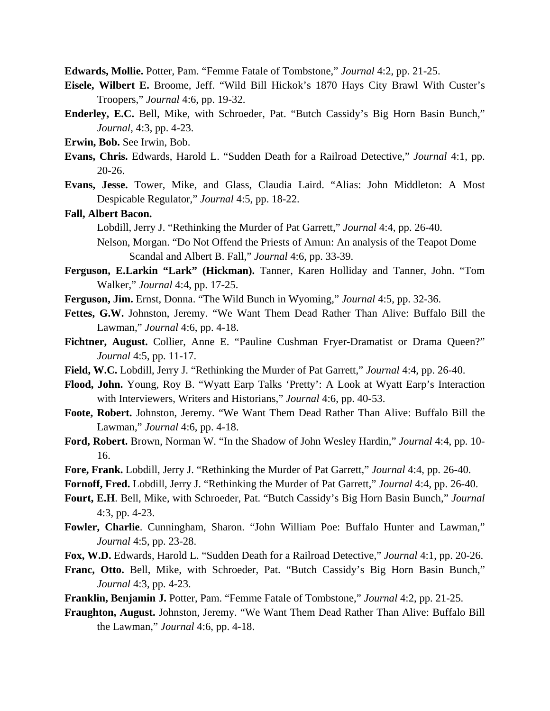**Edwards, Mollie.** Potter, Pam. "Femme Fatale of Tombstone," *Journal* 4:2, pp. 21-25.

- **Eisele, Wilbert E.** Broome, Jeff. "Wild Bill Hickok's 1870 Hays City Brawl With Custer's Troopers," *Journal* 4:6, pp. 19-32.
- **Enderley, E.C.** Bell, Mike, with Schroeder, Pat. "Butch Cassidy's Big Horn Basin Bunch," *Journal*, 4:3, pp. 4-23.
- **Erwin, Bob.** See Irwin, Bob.
- **Evans, Chris.** Edwards, Harold L. "Sudden Death for a Railroad Detective," *Journal* 4:1, pp. 20-26.
- **Evans, Jesse.** Tower, Mike, and Glass, Claudia Laird. "Alias: John Middleton: A Most Despicable Regulator," *Journal* 4:5, pp. 18-22.

## **Fall, Albert Bacon.**

Lobdill, Jerry J. "Rethinking the Murder of Pat Garrett," *Journal* 4:4, pp. 26-40.

- Nelson, Morgan. "Do Not Offend the Priests of Amun: An analysis of the Teapot Dome Scandal and Albert B. Fall," *Journal* 4:6, pp. 33-39.
- **Ferguson, E.Larkin "Lark" (Hickman).** Tanner, Karen Holliday and Tanner, John. "Tom Walker," *Journal* 4:4, pp. 17-25.
- **Ferguson, Jim.** Ernst, Donna. "The Wild Bunch in Wyoming," *Journal* 4:5, pp. 32-36.
- **Fettes, G.W.** Johnston, Jeremy. "We Want Them Dead Rather Than Alive: Buffalo Bill the Lawman," *Journal* 4:6, pp. 4-18.
- Fichtner, August. Collier, Anne E. "Pauline Cushman Fryer-Dramatist or Drama Queen?" *Journal* 4:5, pp. 11-17.
- **Field, W.C.** Lobdill, Jerry J. "Rethinking the Murder of Pat Garrett," *Journal* 4:4, pp. 26-40.
- **Flood, John.** Young, Roy B. "Wyatt Earp Talks 'Pretty': A Look at Wyatt Earp's Interaction with Interviewers, Writers and Historians," *Journal* 4:6, pp. 40-53.
- **Foote, Robert.** Johnston, Jeremy. "We Want Them Dead Rather Than Alive: Buffalo Bill the Lawman," *Journal* 4:6, pp. 4-18.
- **Ford, Robert.** Brown, Norman W. "In the Shadow of John Wesley Hardin," *Journal* 4:4, pp. 10- 16.
- **Fore, Frank.** Lobdill, Jerry J. "Rethinking the Murder of Pat Garrett," *Journal* 4:4, pp. 26-40.
- **Fornoff, Fred.** Lobdill, Jerry J. "Rethinking the Murder of Pat Garrett," *Journal* 4:4, pp. 26-40.
- **Fourt, E.H**. Bell, Mike, with Schroeder, Pat. "Butch Cassidy's Big Horn Basin Bunch," *Journal* 4:3, pp. 4-23.
- **Fowler, Charlie**. Cunningham, Sharon. "John William Poe: Buffalo Hunter and Lawman," *Journal* 4:5, pp. 23-28.
- **Fox, W.D.** Edwards, Harold L. "Sudden Death for a Railroad Detective," *Journal* 4:1, pp. 20-26.
- **Franc, Otto.** Bell, Mike, with Schroeder, Pat. "Butch Cassidy's Big Horn Basin Bunch," *Journal* 4:3, pp. 4-23.
- **Franklin, Benjamin J.** Potter, Pam. "Femme Fatale of Tombstone," *Journal* 4:2, pp. 21-25.
- **Fraughton, August.** Johnston, Jeremy. "We Want Them Dead Rather Than Alive: Buffalo Bill the Lawman," *Journal* 4:6, pp. 4-18.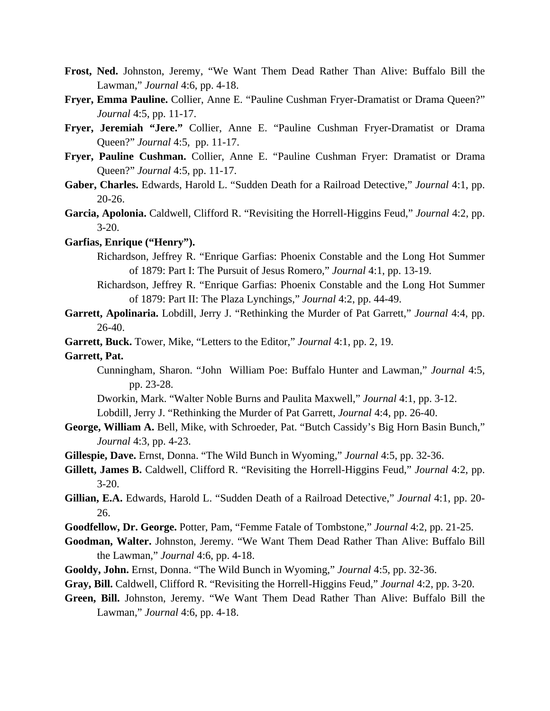- **Frost, Ned.** Johnston, Jeremy, "We Want Them Dead Rather Than Alive: Buffalo Bill the Lawman," *Journal* 4:6, pp. 4-18.
- **Fryer, Emma Pauline.** Collier, Anne E. "Pauline Cushman Fryer-Dramatist or Drama Queen?" *Journal* 4:5, pp. 11-17.
- **Fryer, Jeremiah "Jere."** Collier, Anne E. "Pauline Cushman Fryer-Dramatist or Drama Queen?" *Journal* 4:5, pp. 11-17.
- **Fryer, Pauline Cushman.** Collier, Anne E. "Pauline Cushman Fryer: Dramatist or Drama Queen?" *Journal* 4:5, pp. 11-17.
- **Gaber, Charles.** Edwards, Harold L. "Sudden Death for a Railroad Detective," *Journal* 4:1, pp. 20-26.
- **Garcia, Apolonia.** Caldwell, Clifford R. "Revisiting the Horrell-Higgins Feud," *Journal* 4:2, pp. 3-20.
- **Garfias, Enrique ("Henry").**
	- Richardson, Jeffrey R. "Enrique Garfias: Phoenix Constable and the Long Hot Summer of 1879: Part I: The Pursuit of Jesus Romero," *Journal* 4:1, pp. 13-19.
	- Richardson, Jeffrey R. "Enrique Garfias: Phoenix Constable and the Long Hot Summer of 1879: Part II: The Plaza Lynchings," *Journal* 4:2, pp. 44-49.
- **Garrett, Apolinaria.** Lobdill, Jerry J. "Rethinking the Murder of Pat Garrett," *Journal* 4:4, pp. 26-40.
- **Garrett, Buck.** Tower, Mike, "Letters to the Editor," *Journal* 4:1, pp. 2, 19.
- **Garrett, Pat.**
	- Cunningham, Sharon. "John William Poe: Buffalo Hunter and Lawman," *Journal* 4:5, pp. 23-28.
	- Dworkin, Mark. "Walter Noble Burns and Paulita Maxwell," *Journal* 4:1, pp. 3-12.
	- Lobdill, Jerry J. "Rethinking the Murder of Pat Garrett, *Journal* 4:4, pp. 26-40.
- **George, William A.** Bell, Mike, with Schroeder, Pat. "Butch Cassidy's Big Horn Basin Bunch," *Journal* 4:3, pp. 4-23.
- **Gillespie, Dave.** Ernst, Donna. "The Wild Bunch in Wyoming," *Journal* 4:5, pp. 32-36.
- **Gillett, James B.** Caldwell, Clifford R. "Revisiting the Horrell-Higgins Feud," *Journal* 4:2, pp. 3-20.
- **Gillian, E.A.** Edwards, Harold L. "Sudden Death of a Railroad Detective," *Journal* 4:1, pp. 20- 26.
- **Goodfellow, Dr. George.** Potter, Pam, "Femme Fatale of Tombstone," *Journal* 4:2, pp. 21-25.
- **Goodman, Walter.** Johnston, Jeremy. "We Want Them Dead Rather Than Alive: Buffalo Bill the Lawman," *Journal* 4:6, pp. 4-18.
- **Gooldy, John.** Ernst, Donna. "The Wild Bunch in Wyoming," *Journal* 4:5, pp. 32-36.
- **Gray, Bill.** Caldwell, Clifford R. "Revisiting the Horrell-Higgins Feud," *Journal* 4:2, pp. 3-20.
- **Green, Bill.** Johnston, Jeremy. "We Want Them Dead Rather Than Alive: Buffalo Bill the Lawman," *Journal* 4:6, pp. 4-18.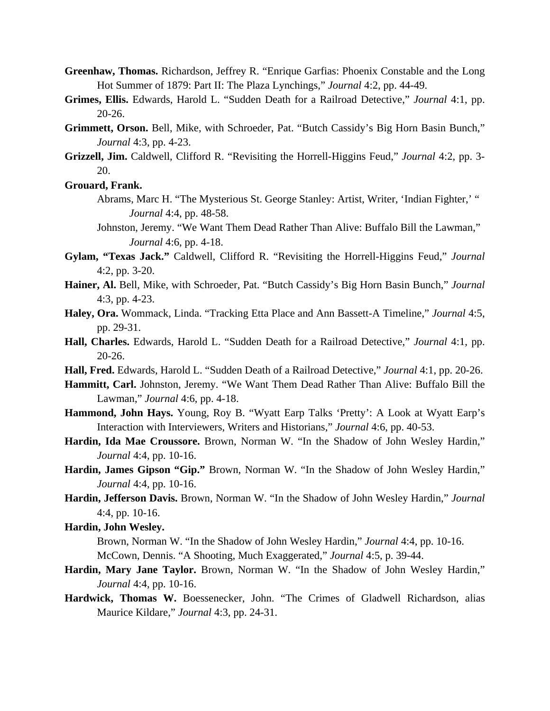- **Greenhaw, Thomas.** Richardson, Jeffrey R. "Enrique Garfias: Phoenix Constable and the Long Hot Summer of 1879: Part II: The Plaza Lynchings," *Journal* 4:2, pp. 44-49.
- **Grimes, Ellis.** Edwards, Harold L. "Sudden Death for a Railroad Detective," *Journal* 4:1, pp. 20-26.
- **Grimmett, Orson.** Bell, Mike, with Schroeder, Pat. "Butch Cassidy's Big Horn Basin Bunch," *Journal* 4:3, pp. 4-23.
- **Grizzell, Jim.** Caldwell, Clifford R. "Revisiting the Horrell-Higgins Feud," *Journal* 4:2, pp. 3- 20.

**Grouard, Frank.**

- Abrams, Marc H. "The Mysterious St. George Stanley: Artist, Writer, 'Indian Fighter,' " *Journal* 4:4, pp. 48-58.
- Johnston, Jeremy. "We Want Them Dead Rather Than Alive: Buffalo Bill the Lawman," *Journal* 4:6, pp. 4-18.
- **Gylam, "Texas Jack."** Caldwell, Clifford R. "Revisiting the Horrell-Higgins Feud," *Journal* 4:2, pp. 3-20.
- **Hainer, Al.** Bell, Mike, with Schroeder, Pat. "Butch Cassidy's Big Horn Basin Bunch," *Journal* 4:3, pp. 4-23.
- **Haley, Ora.** Wommack, Linda. "Tracking Etta Place and Ann Bassett-A Timeline," *Journal* 4:5, pp. 29-31.
- **Hall, Charles.** Edwards, Harold L. "Sudden Death for a Railroad Detective," *Journal* 4:1, pp. 20-26.
- **Hall, Fred.** Edwards, Harold L. "Sudden Death of a Railroad Detective," *Journal* 4:1, pp. 20-26.
- **Hammitt, Carl.** Johnston, Jeremy. "We Want Them Dead Rather Than Alive: Buffalo Bill the Lawman," *Journal* 4:6, pp. 4-18.
- **Hammond, John Hays.** Young, Roy B. "Wyatt Earp Talks 'Pretty': A Look at Wyatt Earp's Interaction with Interviewers, Writers and Historians," *Journal* 4:6, pp. 40-53.
- **Hardin, Ida Mae Croussore.** Brown, Norman W. "In the Shadow of John Wesley Hardin," *Journal* 4:4, pp. 10-16.
- **Hardin, James Gipson "Gip."** Brown, Norman W. "In the Shadow of John Wesley Hardin," *Journal* 4:4, pp. 10-16.
- **Hardin, Jefferson Davis.** Brown, Norman W. "In the Shadow of John Wesley Hardin," *Journal* 4:4, pp. 10-16.

**Hardin, John Wesley.** 

Brown, Norman W. "In the Shadow of John Wesley Hardin," *Journal* 4:4, pp. 10-16. McCown, Dennis. "A Shooting, Much Exaggerated," *Journal* 4:5, p. 39-44.

- **Hardin, Mary Jane Taylor.** Brown, Norman W. "In the Shadow of John Wesley Hardin," *Journal* 4:4, pp. 10-16.
- **Hardwick, Thomas W.** Boessenecker, John. "The Crimes of Gladwell Richardson, alias Maurice Kildare," *Journal* 4:3, pp. 24-31.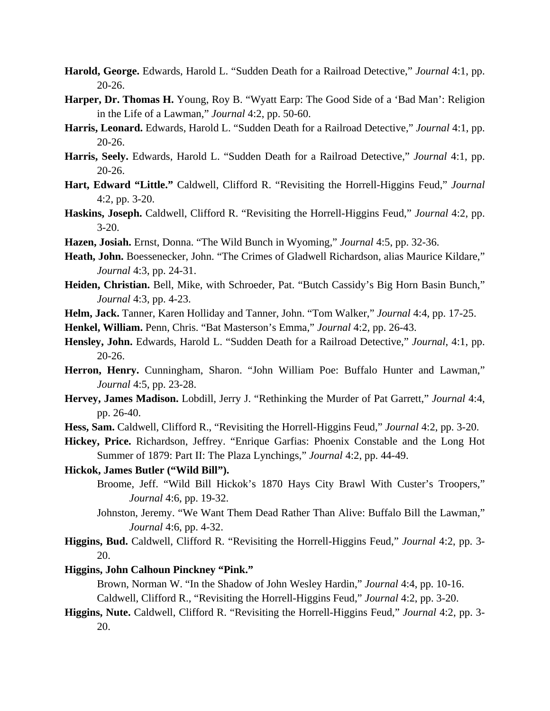- **Harold, George.** Edwards, Harold L. "Sudden Death for a Railroad Detective," *Journal* 4:1, pp. 20-26.
- **Harper, Dr. Thomas H.** Young, Roy B. "Wyatt Earp: The Good Side of a 'Bad Man': Religion in the Life of a Lawman," *Journal* 4:2, pp. 50-60.
- **Harris, Leonard.** Edwards, Harold L. "Sudden Death for a Railroad Detective," *Journal* 4:1, pp. 20-26.
- **Harris, Seely.** Edwards, Harold L. "Sudden Death for a Railroad Detective," *Journal* 4:1, pp. 20-26.
- **Hart, Edward "Little."** Caldwell, Clifford R. "Revisiting the Horrell-Higgins Feud," *Journal* 4:2, pp. 3-20.
- **Haskins, Joseph.** Caldwell, Clifford R. "Revisiting the Horrell-Higgins Feud," *Journal* 4:2, pp. 3-20.
- **Hazen, Josiah.** Ernst, Donna. "The Wild Bunch in Wyoming," *Journal* 4:5, pp. 32-36.
- **Heath, John.** Boessenecker, John. "The Crimes of Gladwell Richardson, alias Maurice Kildare," *Journal* 4:3, pp. 24-31.
- **Heiden, Christian.** Bell, Mike, with Schroeder, Pat. "Butch Cassidy's Big Horn Basin Bunch," *Journal* 4:3, pp. 4-23.
- **Helm, Jack.** Tanner, Karen Holliday and Tanner, John. "Tom Walker," *Journal* 4:4, pp. 17-25.
- **Henkel, William.** Penn, Chris. "Bat Masterson's Emma," *Journal* 4:2, pp. 26-43.
- **Hensley, John.** Edwards, Harold L. "Sudden Death for a Railroad Detective," *Journal*, 4:1, pp. 20-26.
- **Herron, Henry.** Cunningham, Sharon. "John William Poe: Buffalo Hunter and Lawman," *Journal* 4:5, pp. 23-28.
- **Hervey, James Madison.** Lobdill, Jerry J. "Rethinking the Murder of Pat Garrett," *Journal* 4:4, pp. 26-40.
- **Hess, Sam.** Caldwell, Clifford R., "Revisiting the Horrell-Higgins Feud," *Journal* 4:2, pp. 3-20.
- **Hickey, Price.** Richardson, Jeffrey. "Enrique Garfias: Phoenix Constable and the Long Hot Summer of 1879: Part II: The Plaza Lynchings," *Journal* 4:2, pp. 44-49.
- **Hickok, James Butler ("Wild Bill").**
	- Broome, Jeff. "Wild Bill Hickok's 1870 Hays City Brawl With Custer's Troopers," *Journal* 4:6, pp. 19-32.
	- Johnston, Jeremy. "We Want Them Dead Rather Than Alive: Buffalo Bill the Lawman," *Journal* 4:6, pp. 4-32.
- **Higgins, Bud.** Caldwell, Clifford R. "Revisiting the Horrell-Higgins Feud," *Journal* 4:2, pp. 3- 20.

## **Higgins, John Calhoun Pinckney "Pink."**

 Brown, Norman W. "In the Shadow of John Wesley Hardin," *Journal* 4:4, pp. 10-16. Caldwell, Clifford R., "Revisiting the Horrell-Higgins Feud," *Journal* 4:2, pp. 3-20.

**Higgins, Nute.** Caldwell, Clifford R. "Revisiting the Horrell-Higgins Feud," *Journal* 4:2, pp. 3- 20.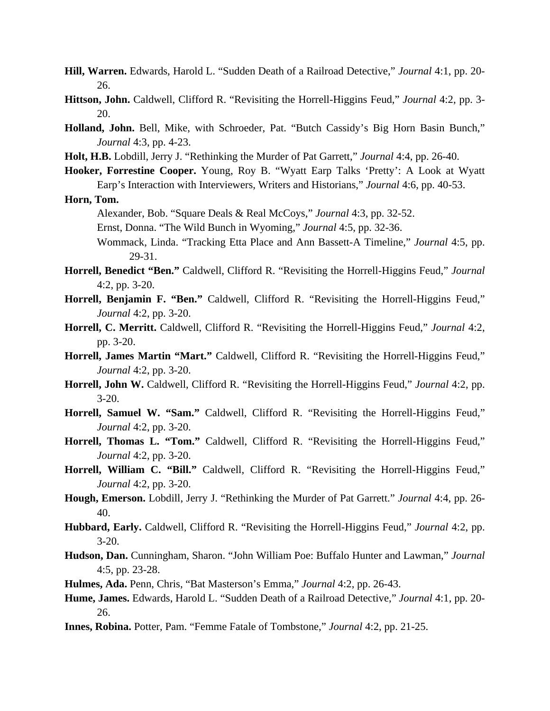- **Hill, Warren.** Edwards, Harold L. "Sudden Death of a Railroad Detective," *Journal* 4:1, pp. 20- 26.
- **Hittson, John.** Caldwell, Clifford R. "Revisiting the Horrell-Higgins Feud," *Journal* 4:2, pp. 3- 20.
- **Holland, John.** Bell, Mike, with Schroeder, Pat. "Butch Cassidy's Big Horn Basin Bunch," *Journal* 4:3, pp. 4-23.
- **Holt, H.B.** Lobdill, Jerry J. "Rethinking the Murder of Pat Garrett," *Journal* 4:4, pp. 26-40.
- **Hooker, Forrestine Cooper.** Young, Roy B. "Wyatt Earp Talks 'Pretty': A Look at Wyatt Earp's Interaction with Interviewers, Writers and Historians," *Journal* 4:6, pp. 40-53.

**Horn, Tom.**

Alexander, Bob. "Square Deals & Real McCoys," *Journal* 4:3, pp. 32-52.

- Ernst, Donna. "The Wild Bunch in Wyoming," *Journal* 4:5, pp. 32-36.
- Wommack, Linda. "Tracking Etta Place and Ann Bassett-A Timeline," *Journal* 4:5, pp. 29-31.
- **Horrell, Benedict "Ben."** Caldwell, Clifford R. "Revisiting the Horrell-Higgins Feud," *Journal* 4:2, pp. 3-20.
- **Horrell, Benjamin F. "Ben."** Caldwell, Clifford R. "Revisiting the Horrell-Higgins Feud," *Journal* 4:2, pp. 3-20.
- **Horrell, C. Merritt.** Caldwell, Clifford R. "Revisiting the Horrell-Higgins Feud," *Journal* 4:2, pp. 3-20.
- **Horrell, James Martin "Mart."** Caldwell, Clifford R. "Revisiting the Horrell-Higgins Feud," *Journal* 4:2, pp. 3-20.
- **Horrell, John W.** Caldwell, Clifford R. "Revisiting the Horrell-Higgins Feud," *Journal* 4:2, pp. 3-20.
- **Horrell, Samuel W. "Sam."** Caldwell, Clifford R. "Revisiting the Horrell-Higgins Feud," *Journal* 4:2, pp. 3-20.
- **Horrell, Thomas L. "Tom."** Caldwell, Clifford R. "Revisiting the Horrell-Higgins Feud," *Journal* 4:2, pp. 3-20.
- **Horrell, William C. "Bill."** Caldwell, Clifford R. "Revisiting the Horrell-Higgins Feud," *Journal* 4:2, pp. 3-20.
- **Hough, Emerson.** Lobdill, Jerry J. "Rethinking the Murder of Pat Garrett." *Journal* 4:4, pp. 26- 40.
- **Hubbard, Early.** Caldwell, Clifford R. "Revisiting the Horrell-Higgins Feud," *Journal* 4:2, pp. 3-20.
- **Hudson, Dan.** Cunningham, Sharon. "John William Poe: Buffalo Hunter and Lawman," *Journal* 4:5, pp. 23-28.
- **Hulmes, Ada.** Penn, Chris, "Bat Masterson's Emma," *Journal* 4:2, pp. 26-43.
- **Hume, James.** Edwards, Harold L. "Sudden Death of a Railroad Detective," *Journal* 4:1, pp. 20- 26.
- **Innes, Robina.** Potter, Pam. "Femme Fatale of Tombstone," *Journal* 4:2, pp. 21-25.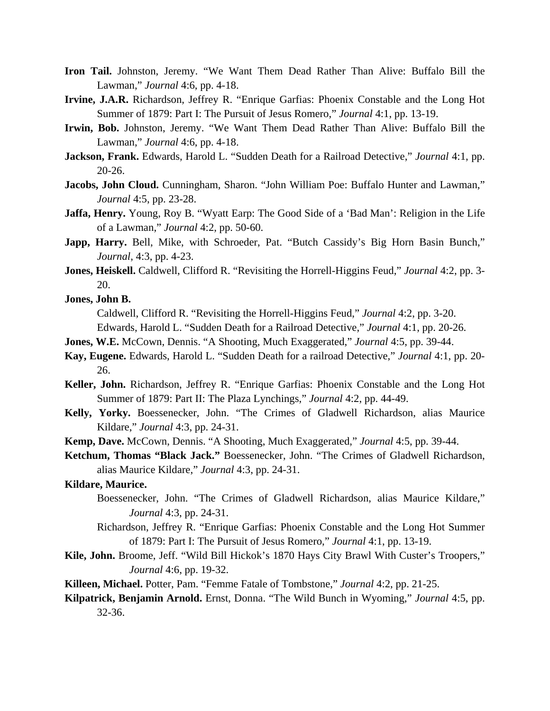- **Iron Tail.** Johnston, Jeremy. "We Want Them Dead Rather Than Alive: Buffalo Bill the Lawman," *Journal* 4:6, pp. 4-18.
- **Irvine, J.A.R.** Richardson, Jeffrey R. "Enrique Garfias: Phoenix Constable and the Long Hot Summer of 1879: Part I: The Pursuit of Jesus Romero," *Journal* 4:1, pp. 13-19.
- **Irwin, Bob.** Johnston, Jeremy. "We Want Them Dead Rather Than Alive: Buffalo Bill the Lawman," *Journal* 4:6, pp. 4-18.
- **Jackson, Frank.** Edwards, Harold L. "Sudden Death for a Railroad Detective," *Journal* 4:1, pp. 20-26.
- **Jacobs, John Cloud.** Cunningham, Sharon. "John William Poe: Buffalo Hunter and Lawman," *Journal* 4:5, pp. 23-28.
- **Jaffa, Henry.** Young, Roy B. "Wyatt Earp: The Good Side of a 'Bad Man': Religion in the Life of a Lawman," *Journal* 4:2, pp. 50-60.
- Japp, Harry. Bell, Mike, with Schroeder, Pat. "Butch Cassidy's Big Horn Basin Bunch," *Journal*, 4:3, pp. 4-23.
- **Jones, Heiskell.** Caldwell, Clifford R. "Revisiting the Horrell-Higgins Feud," *Journal* 4:2, pp. 3- 20.
- **Jones, John B.**

Caldwell, Clifford R. "Revisiting the Horrell-Higgins Feud," *Journal* 4:2, pp. 3-20.

Edwards, Harold L. "Sudden Death for a Railroad Detective," *Journal* 4:1, pp. 20-26.

- **Jones, W.E.** McCown, Dennis. "A Shooting, Much Exaggerated," *Journal* 4:5, pp. 39-44.
- **Kay, Eugene.** Edwards, Harold L. "Sudden Death for a railroad Detective," *Journal* 4:1, pp. 20- 26.
- **Keller, John.** Richardson, Jeffrey R. "Enrique Garfias: Phoenix Constable and the Long Hot Summer of 1879: Part II: The Plaza Lynchings," *Journal* 4:2, pp. 44-49.
- **Kelly, Yorky.** Boessenecker, John. "The Crimes of Gladwell Richardson, alias Maurice Kildare," *Journal* 4:3, pp. 24-31.
- **Kemp, Dave.** McCown, Dennis. "A Shooting, Much Exaggerated," *Journal* 4:5, pp. 39-44.
- **Ketchum, Thomas "Black Jack."** Boessenecker, John. "The Crimes of Gladwell Richardson, alias Maurice Kildare," *Journal* 4:3, pp. 24-31.

#### **Kildare, Maurice.**

- Boessenecker, John. "The Crimes of Gladwell Richardson, alias Maurice Kildare," *Journal* 4:3, pp. 24-31.
- Richardson, Jeffrey R. "Enrique Garfias: Phoenix Constable and the Long Hot Summer of 1879: Part I: The Pursuit of Jesus Romero," *Journal* 4:1, pp. 13-19.
- **Kile, John.** Broome, Jeff. "Wild Bill Hickok's 1870 Hays City Brawl With Custer's Troopers," *Journal* 4:6, pp. 19-32.
- **Killeen, Michael.** Potter, Pam. "Femme Fatale of Tombstone," *Journal* 4:2, pp. 21-25.
- **Kilpatrick, Benjamin Arnold.** Ernst, Donna. "The Wild Bunch in Wyoming," *Journal* 4:5, pp. 32-36.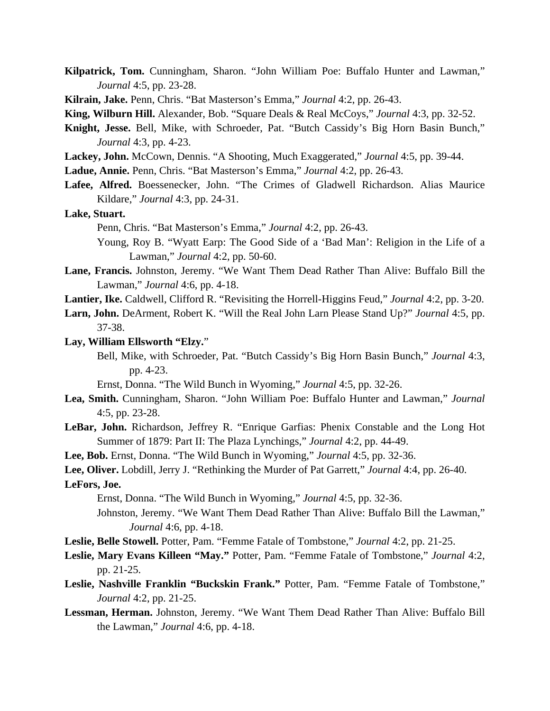- **Kilpatrick, Tom.** Cunningham, Sharon. "John William Poe: Buffalo Hunter and Lawman," *Journal* 4:5, pp. 23-28.
- **Kilrain, Jake.** Penn, Chris. "Bat Masterson's Emma," *Journal* 4:2, pp. 26-43.
- **King, Wilburn Hill.** Alexander, Bob. "Square Deals & Real McCoys," *Journal* 4:3, pp. 32-52.
- **Knight, Jesse.** Bell, Mike, with Schroeder, Pat. "Butch Cassidy's Big Horn Basin Bunch," *Journal* 4:3, pp. 4-23.
- **Lackey, John.** McCown, Dennis. "A Shooting, Much Exaggerated," *Journal* 4:5, pp. 39-44.
- **Ladue, Annie.** Penn, Chris. "Bat Masterson's Emma," *Journal* 4:2, pp. 26-43.
- **Lafee, Alfred.** Boessenecker, John. "The Crimes of Gladwell Richardson. Alias Maurice Kildare," *Journal* 4:3, pp. 24-31.

#### **Lake, Stuart.**

Penn, Chris. "Bat Masterson's Emma," *Journal* 4:2, pp. 26-43.

Young, Roy B. "Wyatt Earp: The Good Side of a 'Bad Man': Religion in the Life of a Lawman," *Journal* 4:2, pp. 50-60.

- **Lane, Francis.** Johnston, Jeremy. "We Want Them Dead Rather Than Alive: Buffalo Bill the Lawman," *Journal* 4:6, pp. 4-18.
- **Lantier, Ike.** Caldwell, Clifford R. "Revisiting the Horrell-Higgins Feud," *Journal* 4:2, pp. 3-20.
- **Larn, John.** DeArment, Robert K. "Will the Real John Larn Please Stand Up?" *Journal* 4:5, pp. 37-38.

#### **Lay, William Ellsworth "Elzy.**"

Bell, Mike, with Schroeder, Pat. "Butch Cassidy's Big Horn Basin Bunch," *Journal* 4:3, pp. 4-23.

Ernst, Donna. "The Wild Bunch in Wyoming," *Journal* 4:5, pp. 32-26.

- **Lea, Smith.** Cunningham, Sharon. "John William Poe: Buffalo Hunter and Lawman," *Journal* 4:5, pp. 23-28.
- **LeBar, John.** Richardson, Jeffrey R. "Enrique Garfias: Phenix Constable and the Long Hot Summer of 1879: Part II: The Plaza Lynchings," *Journal* 4:2, pp. 44-49.

**Lee, Bob.** Ernst, Donna. "The Wild Bunch in Wyoming," *Journal* 4:5, pp. 32-36.

**Lee, Oliver.** Lobdill, Jerry J. "Rethinking the Murder of Pat Garrett," *Journal* 4:4, pp. 26-40. **LeFors, Joe.**

Ernst, Donna. "The Wild Bunch in Wyoming," *Journal* 4:5, pp. 32-36.

- Johnston, Jeremy. "We Want Them Dead Rather Than Alive: Buffalo Bill the Lawman," *Journal* 4:6, pp. 4-18.
- **Leslie, Belle Stowell.** Potter, Pam. "Femme Fatale of Tombstone," *Journal* 4:2, pp. 21-25.
- **Leslie, Mary Evans Killeen "May."** Potter, Pam. "Femme Fatale of Tombstone," *Journal* 4:2, pp. 21-25.
- **Leslie, Nashville Franklin "Buckskin Frank."** Potter, Pam. "Femme Fatale of Tombstone," *Journal* 4:2, pp. 21-25.
- **Lessman, Herman.** Johnston, Jeremy. "We Want Them Dead Rather Than Alive: Buffalo Bill the Lawman," *Journal* 4:6, pp. 4-18.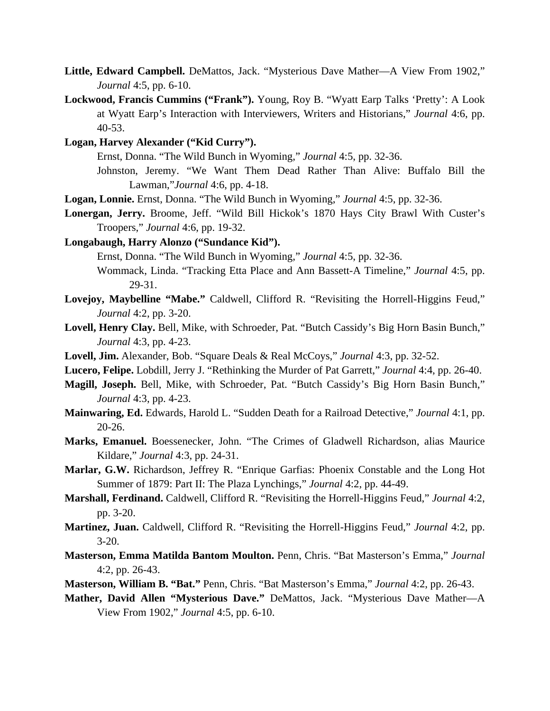- **Little, Edward Campbell.** DeMattos, Jack. "Mysterious Dave Mather—A View From 1902," *Journal* 4:5, pp. 6-10.
- **Lockwood, Francis Cummins ("Frank").** Young, Roy B. "Wyatt Earp Talks 'Pretty': A Look at Wyatt Earp's Interaction with Interviewers, Writers and Historians," *Journal* 4:6, pp. 40-53.
- **Logan, Harvey Alexander ("Kid Curry").**

Ernst, Donna. "The Wild Bunch in Wyoming," *Journal* 4:5, pp. 32-36.

- Johnston, Jeremy. "We Want Them Dead Rather Than Alive: Buffalo Bill the Lawman,"*Journal* 4:6, pp. 4-18.
- **Logan, Lonnie.** Ernst, Donna. "The Wild Bunch in Wyoming," *Journal* 4:5, pp. 32-36.
- **Lonergan, Jerry.** Broome, Jeff. "Wild Bill Hickok's 1870 Hays City Brawl With Custer's Troopers," *Journal* 4:6, pp. 19-32.
- **Longabaugh, Harry Alonzo ("Sundance Kid").**

Ernst, Donna. "The Wild Bunch in Wyoming," *Journal* 4:5, pp. 32-36.

- Wommack, Linda. "Tracking Etta Place and Ann Bassett-A Timeline," *Journal* 4:5, pp. 29-31.
- Lovejoy, Maybelline "Mabe." Caldwell, Clifford R. "Revisiting the Horrell-Higgins Feud," *Journal* 4:2, pp. 3-20.
- **Lovell, Henry Clay.** Bell, Mike, with Schroeder, Pat. "Butch Cassidy's Big Horn Basin Bunch," *Journal* 4:3, pp. 4-23.
- **Lovell, Jim.** Alexander, Bob. "Square Deals & Real McCoys," *Journal* 4:3, pp. 32-52.
- **Lucero, Felipe.** Lobdill, Jerry J. "Rethinking the Murder of Pat Garrett," *Journal* 4:4, pp. 26-40.
- **Magill, Joseph.** Bell, Mike, with Schroeder, Pat. "Butch Cassidy's Big Horn Basin Bunch," *Journal* 4:3, pp. 4-23.
- **Mainwaring, Ed.** Edwards, Harold L. "Sudden Death for a Railroad Detective," *Journal* 4:1, pp. 20-26.
- **Marks, Emanuel.** Boessenecker, John. "The Crimes of Gladwell Richardson, alias Maurice Kildare," *Journal* 4:3, pp. 24-31.
- **Marlar, G.W.** Richardson, Jeffrey R. "Enrique Garfias: Phoenix Constable and the Long Hot Summer of 1879: Part II: The Plaza Lynchings," *Journal* 4:2, pp. 44-49.
- **Marshall, Ferdinand.** Caldwell, Clifford R. "Revisiting the Horrell-Higgins Feud," *Journal* 4:2, pp. 3-20.
- **Martinez, Juan.** Caldwell, Clifford R. "Revisiting the Horrell-Higgins Feud," *Journal* 4:2, pp. 3-20.
- **Masterson, Emma Matilda Bantom Moulton.** Penn, Chris. "Bat Masterson's Emma," *Journal* 4:2, pp. 26-43.
- **Masterson, William B. "Bat."** Penn, Chris. "Bat Masterson's Emma," *Journal* 4:2, pp. 26-43.
- **Mather, David Allen "Mysterious Dave."** DeMattos, Jack. "Mysterious Dave Mather—A View From 1902," *Journal* 4:5, pp. 6-10.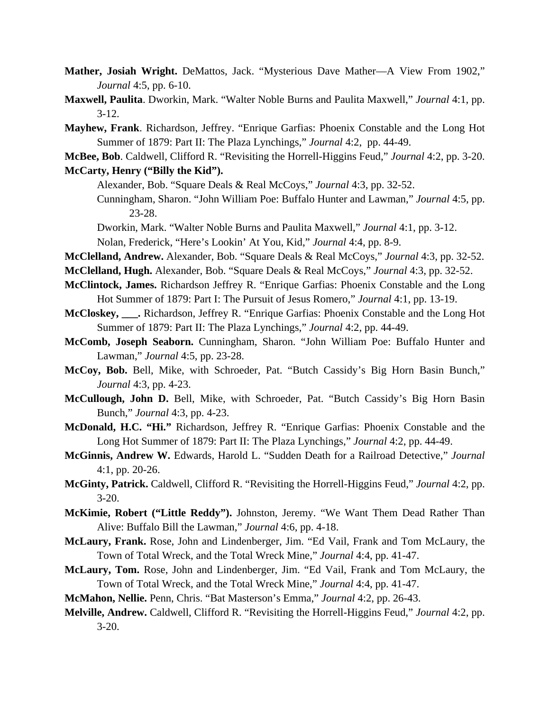- **Mather, Josiah Wright.** DeMattos, Jack. "Mysterious Dave Mather—A View From 1902," *Journal* 4:5, pp. 6-10.
- **Maxwell, Paulita**. Dworkin, Mark. "Walter Noble Burns and Paulita Maxwell," *Journal* 4:1, pp. 3-12.
- **Mayhew, Frank**. Richardson, Jeffrey. "Enrique Garfias: Phoenix Constable and the Long Hot Summer of 1879: Part II: The Plaza Lynchings," *Journal* 4:2, pp. 44-49.
- **McBee, Bob**. Caldwell, Clifford R. "Revisiting the Horrell-Higgins Feud," *Journal* 4:2, pp. 3-20.

#### **McCarty, Henry ("Billy the Kid").**

Alexander, Bob. "Square Deals & Real McCoys," *Journal* 4:3, pp. 32-52.

- Cunningham, Sharon. "John William Poe: Buffalo Hunter and Lawman," *Journal* 4:5, pp. 23-28.
- Dworkin, Mark. "Walter Noble Burns and Paulita Maxwell," *Journal* 4:1, pp. 3-12. Nolan, Frederick, "Here's Lookin' At You, Kid," *Journal* 4:4, pp. 8-9.
- **McClelland, Andrew.** Alexander, Bob. "Square Deals & Real McCoys," *Journal* 4:3, pp. 32-52.
- **McClelland, Hugh.** Alexander, Bob. "Square Deals & Real McCoys," *Journal* 4:3, pp. 32-52.
- **McClintock, James.** Richardson Jeffrey R. "Enrique Garfias: Phoenix Constable and the Long Hot Summer of 1879: Part I: The Pursuit of Jesus Romero," *Journal* 4:1, pp. 13-19.
- **McCloskey, \_\_\_.** Richardson, Jeffrey R. "Enrique Garfias: Phoenix Constable and the Long Hot Summer of 1879: Part II: The Plaza Lynchings," *Journal* 4:2, pp. 44-49.
- **McComb, Joseph Seaborn.** Cunningham, Sharon. "John William Poe: Buffalo Hunter and Lawman," *Journal* 4:5, pp. 23-28.
- **McCoy, Bob.** Bell, Mike, with Schroeder, Pat. "Butch Cassidy's Big Horn Basin Bunch," *Journal* 4:3, pp. 4-23.
- **McCullough, John D.** Bell, Mike, with Schroeder, Pat. "Butch Cassidy's Big Horn Basin Bunch," *Journal* 4:3, pp. 4-23.
- **McDonald, H.C. "Hi."** Richardson, Jeffrey R. "Enrique Garfias: Phoenix Constable and the Long Hot Summer of 1879: Part II: The Plaza Lynchings," *Journal* 4:2, pp. 44-49.
- **McGinnis, Andrew W.** Edwards, Harold L. "Sudden Death for a Railroad Detective," *Journal* 4:1, pp. 20-26.
- **McGinty, Patrick.** Caldwell, Clifford R. "Revisiting the Horrell-Higgins Feud," *Journal* 4:2, pp. 3-20.
- **McKimie, Robert ("Little Reddy").** Johnston, Jeremy. "We Want Them Dead Rather Than Alive: Buffalo Bill the Lawman," *Journal* 4:6, pp. 4-18.
- **McLaury, Frank.** Rose, John and Lindenberger, Jim. "Ed Vail, Frank and Tom McLaury, the Town of Total Wreck, and the Total Wreck Mine," *Journal* 4:4, pp. 41-47.
- **McLaury, Tom.** Rose, John and Lindenberger, Jim. "Ed Vail, Frank and Tom McLaury, the Town of Total Wreck, and the Total Wreck Mine," *Journal* 4:4, pp. 41-47.
- **McMahon, Nellie.** Penn, Chris. "Bat Masterson's Emma," *Journal* 4:2, pp. 26-43.
- **Melville, Andrew.** Caldwell, Clifford R. "Revisiting the Horrell-Higgins Feud," *Journal* 4:2, pp. 3-20.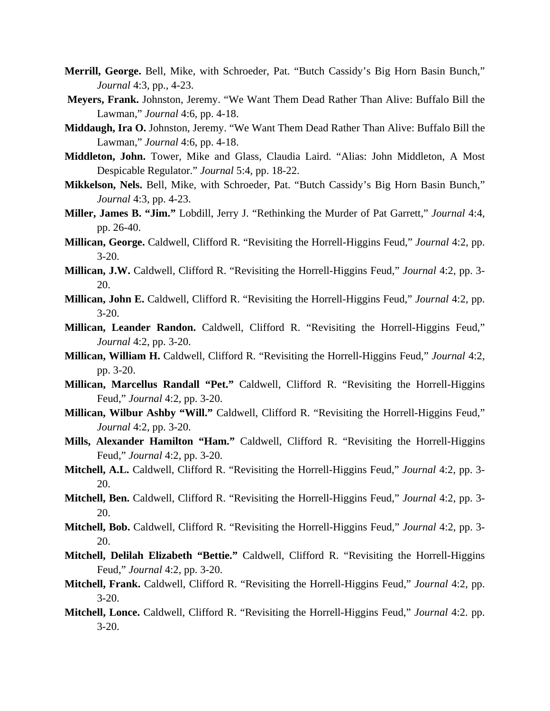- **Merrill, George.** Bell, Mike, with Schroeder, Pat. "Butch Cassidy's Big Horn Basin Bunch," *Journal* 4:3, pp., 4-23.
- **Meyers, Frank.** Johnston, Jeremy. "We Want Them Dead Rather Than Alive: Buffalo Bill the Lawman," *Journal* 4:6, pp. 4-18.
- **Middaugh, Ira O.** Johnston, Jeremy. "We Want Them Dead Rather Than Alive: Buffalo Bill the Lawman," *Journal* 4:6, pp. 4-18.
- **Middleton, John.** Tower, Mike and Glass, Claudia Laird. "Alias: John Middleton, A Most Despicable Regulator." *Journal* 5:4, pp. 18-22.
- **Mikkelson, Nels.** Bell, Mike, with Schroeder, Pat. "Butch Cassidy's Big Horn Basin Bunch," *Journal* 4:3, pp. 4-23.
- **Miller, James B. "Jim."** Lobdill, Jerry J. "Rethinking the Murder of Pat Garrett," *Journal* 4:4, pp. 26-40.
- **Millican, George.** Caldwell, Clifford R. "Revisiting the Horrell-Higgins Feud," *Journal* 4:2, pp. 3-20.
- **Millican, J.W.** Caldwell, Clifford R. "Revisiting the Horrell-Higgins Feud," *Journal* 4:2, pp. 3- 20.
- **Millican, John E.** Caldwell, Clifford R. "Revisiting the Horrell-Higgins Feud," *Journal* 4:2, pp. 3-20.
- **Millican, Leander Randon.** Caldwell, Clifford R. "Revisiting the Horrell-Higgins Feud," *Journal* 4:2, pp. 3-20.
- **Millican, William H.** Caldwell, Clifford R. "Revisiting the Horrell-Higgins Feud," *Journal* 4:2, pp. 3-20.
- **Millican, Marcellus Randall "Pet."** Caldwell, Clifford R. "Revisiting the Horrell-Higgins Feud," *Journal* 4:2, pp. 3-20.
- **Millican, Wilbur Ashby "Will."** Caldwell, Clifford R. "Revisiting the Horrell-Higgins Feud," *Journal* 4:2, pp. 3-20.
- **Mills, Alexander Hamilton "Ham."** Caldwell, Clifford R. "Revisiting the Horrell-Higgins Feud," *Journal* 4:2, pp. 3-20.
- **Mitchell, A.L.** Caldwell, Clifford R. "Revisiting the Horrell-Higgins Feud," *Journal* 4:2, pp. 3- 20.
- **Mitchell, Ben.** Caldwell, Clifford R. "Revisiting the Horrell-Higgins Feud," *Journal* 4:2, pp. 3- 20.
- **Mitchell, Bob.** Caldwell, Clifford R. "Revisiting the Horrell-Higgins Feud," *Journal* 4:2, pp. 3- 20.
- **Mitchell, Delilah Elizabeth "Bettie."** Caldwell, Clifford R. "Revisiting the Horrell-Higgins Feud," *Journal* 4:2, pp. 3-20.
- **Mitchell, Frank.** Caldwell, Clifford R. "Revisiting the Horrell-Higgins Feud," *Journal* 4:2, pp. 3-20.
- **Mitchell, Lonce.** Caldwell, Clifford R. "Revisiting the Horrell-Higgins Feud," *Journal* 4:2. pp. 3-20.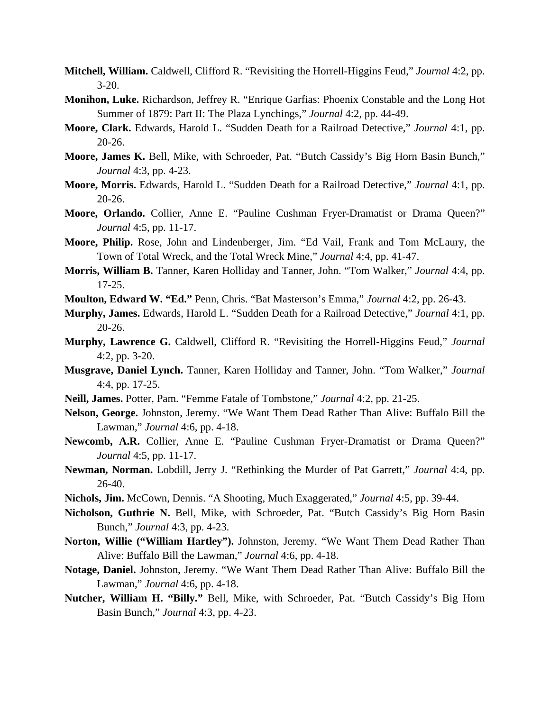- **Mitchell, William.** Caldwell, Clifford R. "Revisiting the Horrell-Higgins Feud," *Journal* 4:2, pp. 3-20.
- **Monihon, Luke.** Richardson, Jeffrey R. "Enrique Garfias: Phoenix Constable and the Long Hot Summer of 1879: Part II: The Plaza Lynchings," *Journal* 4:2, pp. 44-49.
- **Moore, Clark.** Edwards, Harold L. "Sudden Death for a Railroad Detective," *Journal* 4:1, pp. 20-26.
- **Moore, James K.** Bell, Mike, with Schroeder, Pat. "Butch Cassidy's Big Horn Basin Bunch," *Journal* 4:3, pp. 4-23.
- **Moore, Morris.** Edwards, Harold L. "Sudden Death for a Railroad Detective," *Journal* 4:1, pp. 20-26.
- **Moore, Orlando.** Collier, Anne E. "Pauline Cushman Fryer-Dramatist or Drama Queen?" *Journal* 4:5, pp. 11-17.
- **Moore, Philip.** Rose, John and Lindenberger, Jim. "Ed Vail, Frank and Tom McLaury, the Town of Total Wreck, and the Total Wreck Mine," *Journal* 4:4, pp. 41-47.
- **Morris, William B.** Tanner, Karen Holliday and Tanner, John. "Tom Walker," *Journal* 4:4, pp. 17-25.
- **Moulton, Edward W. "Ed."** Penn, Chris. "Bat Masterson's Emma," *Journal* 4:2, pp. 26-43.
- **Murphy, James.** Edwards, Harold L. "Sudden Death for a Railroad Detective," *Journal* 4:1, pp. 20-26.
- **Murphy, Lawrence G.** Caldwell, Clifford R. "Revisiting the Horrell-Higgins Feud," *Journal* 4:2, pp. 3-20.
- **Musgrave, Daniel Lynch.** Tanner, Karen Holliday and Tanner, John. "Tom Walker," *Journal* 4:4, pp. 17-25.
- **Neill, James.** Potter, Pam. "Femme Fatale of Tombstone," *Journal* 4:2, pp. 21-25.
- **Nelson, George.** Johnston, Jeremy. "We Want Them Dead Rather Than Alive: Buffalo Bill the Lawman," *Journal* 4:6, pp. 4-18.
- **Newcomb, A.R.** Collier, Anne E. "Pauline Cushman Fryer-Dramatist or Drama Queen?" *Journal* 4:5, pp. 11-17.
- **Newman, Norman.** Lobdill, Jerry J. "Rethinking the Murder of Pat Garrett," *Journal* 4:4, pp. 26-40.
- **Nichols, Jim.** McCown, Dennis. "A Shooting, Much Exaggerated," *Journal* 4:5, pp. 39-44.
- **Nicholson, Guthrie N.** Bell, Mike, with Schroeder, Pat. "Butch Cassidy's Big Horn Basin Bunch," *Journal* 4:3, pp. 4-23.
- **Norton, Willie ("William Hartley").** Johnston, Jeremy. "We Want Them Dead Rather Than Alive: Buffalo Bill the Lawman," *Journal* 4:6, pp. 4-18.
- **Notage, Daniel.** Johnston, Jeremy. "We Want Them Dead Rather Than Alive: Buffalo Bill the Lawman," *Journal* 4:6, pp. 4-18.
- **Nutcher, William H. "Billy."** Bell, Mike, with Schroeder, Pat. "Butch Cassidy's Big Horn Basin Bunch," *Journal* 4:3, pp. 4-23.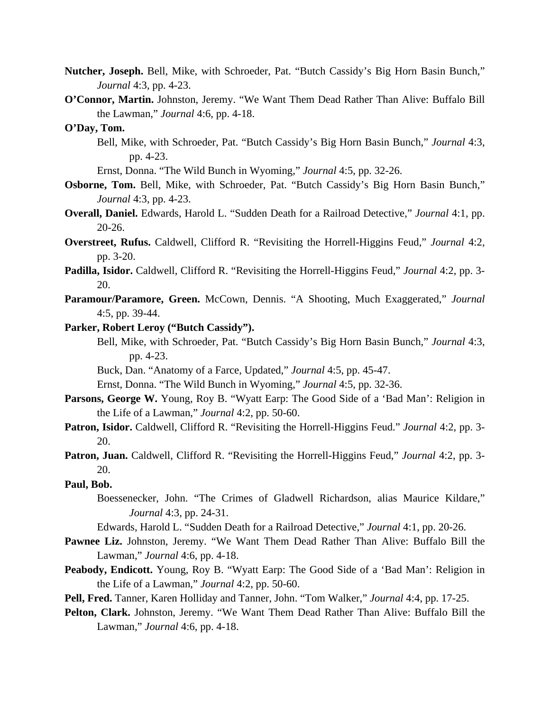- **Nutcher, Joseph.** Bell, Mike, with Schroeder, Pat. "Butch Cassidy's Big Horn Basin Bunch," *Journal* 4:3, pp. 4-23.
- **O'Connor, Martin.** Johnston, Jeremy. "We Want Them Dead Rather Than Alive: Buffalo Bill the Lawman," *Journal* 4:6, pp. 4-18.

## **O'Day, Tom.**

- Bell, Mike, with Schroeder, Pat. "Butch Cassidy's Big Horn Basin Bunch," *Journal* 4:3, pp. 4-23.
- Ernst, Donna. "The Wild Bunch in Wyoming," *Journal* 4:5, pp. 32-26.
- **Osborne, Tom.** Bell, Mike, with Schroeder, Pat. "Butch Cassidy's Big Horn Basin Bunch," *Journal* 4:3, pp. 4-23.
- **Overall, Daniel.** Edwards, Harold L. "Sudden Death for a Railroad Detective," *Journal* 4:1, pp. 20-26.
- **Overstreet, Rufus.** Caldwell, Clifford R. "Revisiting the Horrell-Higgins Feud," *Journal* 4:2, pp. 3-20.
- **Padilla, Isidor.** Caldwell, Clifford R. "Revisiting the Horrell-Higgins Feud," *Journal* 4:2, pp. 3- 20.
- Paramour/Paramore, Green. McCown, Dennis. "A Shooting, Much Exaggerated," *Journal* 4:5, pp. 39-44.
- **Parker, Robert Leroy ("Butch Cassidy").**
	- Bell, Mike, with Schroeder, Pat. "Butch Cassidy's Big Horn Basin Bunch," *Journal* 4:3, pp. 4-23.
	- Buck, Dan. "Anatomy of a Farce, Updated," *Journal* 4:5, pp. 45-47.
	- Ernst, Donna. "The Wild Bunch in Wyoming," *Journal* 4:5, pp. 32-36.
- **Parsons, George W.** Young, Roy B. "Wyatt Earp: The Good Side of a 'Bad Man': Religion in the Life of a Lawman," *Journal* 4:2, pp. 50-60.
- **Patron, Isidor.** Caldwell, Clifford R. "Revisiting the Horrell-Higgins Feud." *Journal* 4:2, pp. 3- 20.
- **Patron, Juan.** Caldwell, Clifford R. "Revisiting the Horrell-Higgins Feud," *Journal* 4:2, pp. 3- 20.

#### **Paul, Bob.**

- Boessenecker, John. "The Crimes of Gladwell Richardson, alias Maurice Kildare," *Journal* 4:3, pp. 24-31.
- Edwards, Harold L. "Sudden Death for a Railroad Detective," *Journal* 4:1, pp. 20-26.
- **Pawnee Liz.** Johnston, Jeremy. "We Want Them Dead Rather Than Alive: Buffalo Bill the Lawman," *Journal* 4:6, pp. 4-18.
- **Peabody, Endicott.** Young, Roy B. "Wyatt Earp: The Good Side of a 'Bad Man': Religion in the Life of a Lawman," *Journal* 4:2, pp. 50-60.
- **Pell, Fred.** Tanner, Karen Holliday and Tanner, John. "Tom Walker," *Journal* 4:4, pp. 17-25.
- **Pelton, Clark.** Johnston, Jeremy. "We Want Them Dead Rather Than Alive: Buffalo Bill the Lawman," *Journal* 4:6, pp. 4-18.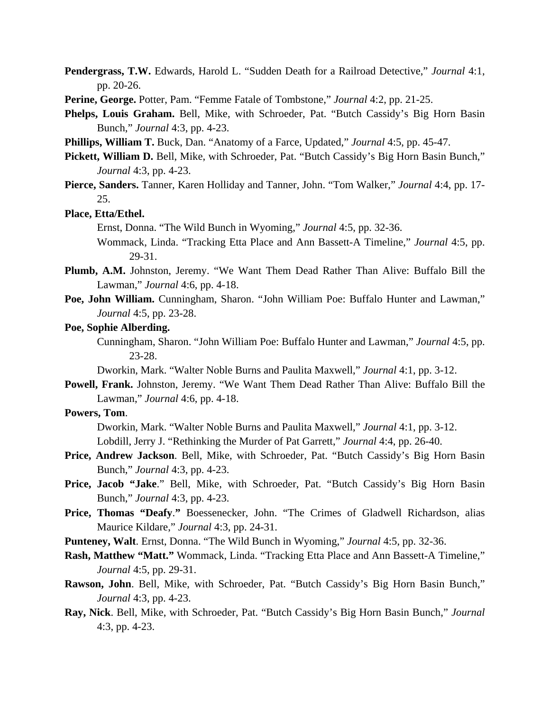- **Pendergrass, T.W.** Edwards, Harold L. "Sudden Death for a Railroad Detective," *Journal* 4:1, pp. 20-26.
- **Perine, George.** Potter, Pam. "Femme Fatale of Tombstone," *Journal* 4:2, pp. 21-25.
- **Phelps, Louis Graham.** Bell, Mike, with Schroeder, Pat. "Butch Cassidy's Big Horn Basin Bunch," *Journal* 4:3, pp. 4-23.
- **Phillips, William T.** Buck, Dan. "Anatomy of a Farce, Updated," *Journal* 4:5, pp. 45-47.
- **Pickett, William D.** Bell, Mike, with Schroeder, Pat. "Butch Cassidy's Big Horn Basin Bunch," *Journal* 4:3, pp. 4-23.
- **Pierce, Sanders.** Tanner, Karen Holliday and Tanner, John. "Tom Walker," *Journal* 4:4, pp. 17- 25.

#### **Place, Etta/Ethel.**

Ernst, Donna. "The Wild Bunch in Wyoming," *Journal* 4:5, pp. 32-36.

- Wommack, Linda. "Tracking Etta Place and Ann Bassett-A Timeline," *Journal* 4:5, pp. 29-31.
- **Plumb, A.M.** Johnston, Jeremy. "We Want Them Dead Rather Than Alive: Buffalo Bill the Lawman," *Journal* 4:6, pp. 4-18.
- **Poe, John William.** Cunningham, Sharon. "John William Poe: Buffalo Hunter and Lawman," *Journal* 4:5, pp. 23-28.
- **Poe, Sophie Alberding.**

 Cunningham, Sharon. "John William Poe: Buffalo Hunter and Lawman," *Journal* 4:5, pp. 23-28.

Dworkin, Mark. "Walter Noble Burns and Paulita Maxwell," *Journal* 4:1, pp. 3-12.

**Powell, Frank.** Johnston, Jeremy. "We Want Them Dead Rather Than Alive: Buffalo Bill the Lawman," *Journal* 4:6, pp. 4-18.

## **Powers, Tom**.

Dworkin, Mark. "Walter Noble Burns and Paulita Maxwell," *Journal* 4:1, pp. 3-12. Lobdill, Jerry J. "Rethinking the Murder of Pat Garrett," *Journal* 4:4, pp. 26-40.

- **Price, Andrew Jackson**. Bell, Mike, with Schroeder, Pat. "Butch Cassidy's Big Horn Basin Bunch," *Journal* 4:3, pp. 4-23.
- **Price, Jacob "Jake**." Bell, Mike, with Schroeder, Pat. "Butch Cassidy's Big Horn Basin Bunch," *Journal* 4:3, pp. 4-23.
- **Price, Thomas "Deafy**.**"** Boessenecker, John. "The Crimes of Gladwell Richardson, alias Maurice Kildare," *Journal* 4:3, pp. 24-31.
- **Punteney, Walt**. Ernst, Donna. "The Wild Bunch in Wyoming," *Journal* 4:5, pp. 32-36.
- **Rash, Matthew "Matt."** Wommack, Linda. "Tracking Etta Place and Ann Bassett-A Timeline," *Journal* 4:5, pp. 29-31.
- **Rawson, John**. Bell, Mike, with Schroeder, Pat. "Butch Cassidy's Big Horn Basin Bunch," *Journal* 4:3, pp. 4-23.
- **Ray, Nick**. Bell, Mike, with Schroeder, Pat. "Butch Cassidy's Big Horn Basin Bunch," *Journal* 4:3, pp. 4-23.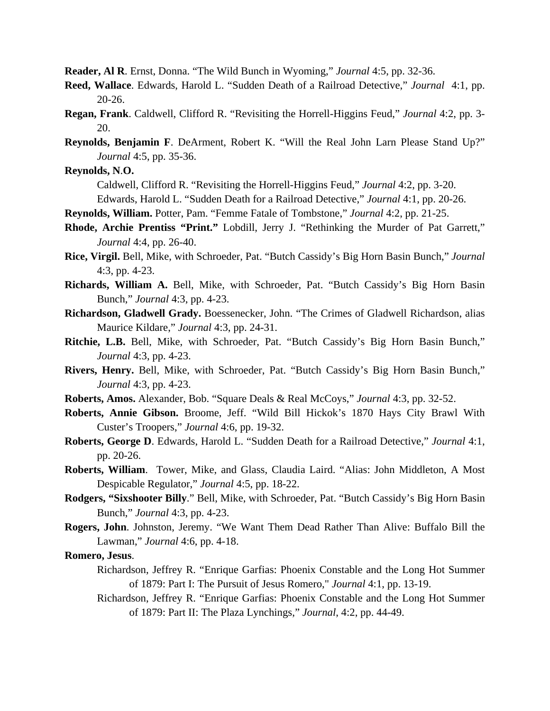**Reader, Al R**. Ernst, Donna. "The Wild Bunch in Wyoming," *Journal* 4:5, pp. 32-36.

- **Reed, Wallace**. Edwards, Harold L. "Sudden Death of a Railroad Detective," *Journal* 4:1, pp. 20-26.
- **Regan, Frank**. Caldwell, Clifford R. "Revisiting the Horrell-Higgins Feud," *Journal* 4:2, pp. 3- 20.
- **Reynolds, Benjamin F**. DeArment, Robert K. "Will the Real John Larn Please Stand Up?" *Journal* 4:5, pp. 35-36.

**Reynolds, N**.**O.**

Caldwell, Clifford R. "Revisiting the Horrell-Higgins Feud," *Journal* 4:2, pp. 3-20.

Edwards, Harold L. "Sudden Death for a Railroad Detective," *Journal* 4:1, pp. 20-26.

**Reynolds, William.** Potter, Pam. "Femme Fatale of Tombstone," *Journal* 4:2, pp. 21-25.

- **Rhode, Archie Prentiss "Print."** Lobdill, Jerry J. "Rethinking the Murder of Pat Garrett," *Journal* 4:4, pp. 26-40.
- **Rice, Virgil.** Bell, Mike, with Schroeder, Pat. "Butch Cassidy's Big Horn Basin Bunch," *Journal* 4:3, pp. 4-23.
- **Richards, William A.** Bell, Mike, with Schroeder, Pat. "Butch Cassidy's Big Horn Basin Bunch," *Journal* 4:3, pp. 4-23.
- **Richardson, Gladwell Grady.** Boessenecker, John. "The Crimes of Gladwell Richardson, alias Maurice Kildare," *Journal* 4:3, pp. 24-31.
- **Ritchie, L.B.** Bell, Mike, with Schroeder, Pat. "Butch Cassidy's Big Horn Basin Bunch," *Journal* 4:3, pp. 4-23.
- **Rivers, Henry.** Bell, Mike, with Schroeder, Pat. "Butch Cassidy's Big Horn Basin Bunch," *Journal* 4:3, pp. 4-23.
- **Roberts, Amos.** Alexander, Bob. "Square Deals & Real McCoys," *Journal* 4:3, pp. 32-52.
- **Roberts, Annie Gibson.** Broome, Jeff. "Wild Bill Hickok's 1870 Hays City Brawl With Custer's Troopers," *Journal* 4:6, pp. 19-32.
- **Roberts, George D**. Edwards, Harold L. "Sudden Death for a Railroad Detective," *Journal* 4:1, pp. 20-26.
- **Roberts, William**. Tower, Mike, and Glass, Claudia Laird. "Alias: John Middleton, A Most Despicable Regulator," *Journal* 4:5, pp. 18-22.
- **Rodgers, "Sixshooter Billy**." Bell, Mike, with Schroeder, Pat. "Butch Cassidy's Big Horn Basin Bunch," *Journal* 4:3, pp. 4-23.
- **Rogers, John**. Johnston, Jeremy. "We Want Them Dead Rather Than Alive: Buffalo Bill the Lawman," *Journal* 4:6, pp. 4-18.

## **Romero, Jesus**.

- Richardson, Jeffrey R. "Enrique Garfias: Phoenix Constable and the Long Hot Summer of 1879: Part I: The Pursuit of Jesus Romero," *Journal* 4:1, pp. 13-19.
- Richardson, Jeffrey R. "Enrique Garfias: Phoenix Constable and the Long Hot Summer of 1879: Part II: The Plaza Lynchings," *Journal*, 4:2, pp. 44-49.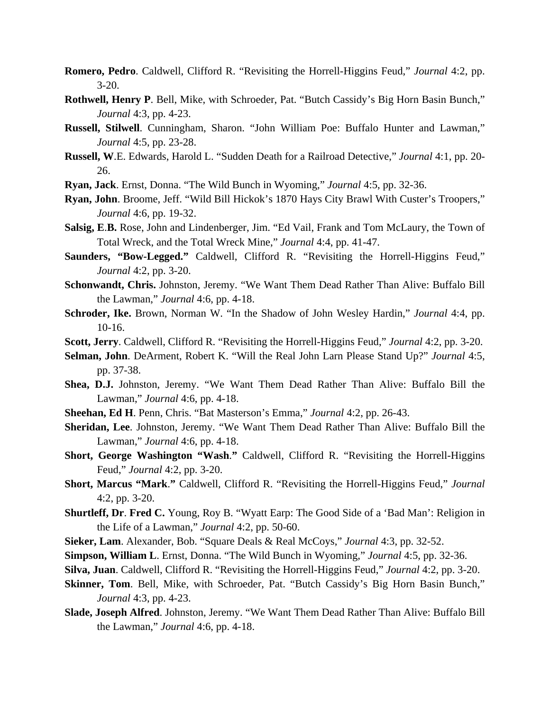- **Romero, Pedro**. Caldwell, Clifford R. "Revisiting the Horrell-Higgins Feud," *Journal* 4:2, pp. 3-20.
- **Rothwell, Henry P**. Bell, Mike, with Schroeder, Pat. "Butch Cassidy's Big Horn Basin Bunch," *Journal* 4:3, pp. 4-23.
- **Russell, Stilwell**. Cunningham, Sharon. "John William Poe: Buffalo Hunter and Lawman," *Journal* 4:5, pp. 23-28.
- **Russell, W**.E. Edwards, Harold L. "Sudden Death for a Railroad Detective," *Journal* 4:1, pp. 20- 26.
- **Ryan, Jack**. Ernst, Donna. "The Wild Bunch in Wyoming," *Journal* 4:5, pp. 32-36.
- **Ryan, John**. Broome, Jeff. "Wild Bill Hickok's 1870 Hays City Brawl With Custer's Troopers," *Journal* 4:6, pp. 19-32.
- **Salsig, E**.**B.** Rose, John and Lindenberger, Jim. "Ed Vail, Frank and Tom McLaury, the Town of Total Wreck, and the Total Wreck Mine," *Journal* 4:4, pp. 41-47.
- **Saunders, "Bow-Legged."** Caldwell, Clifford R. "Revisiting the Horrell-Higgins Feud," *Journal* 4:2, pp. 3-20.
- **Schonwandt, Chris.** Johnston, Jeremy. "We Want Them Dead Rather Than Alive: Buffalo Bill the Lawman," *Journal* 4:6, pp. 4-18.
- **Schroder, Ike.** Brown, Norman W. "In the Shadow of John Wesley Hardin," *Journal* 4:4, pp. 10-16.
- **Scott, Jerry**. Caldwell, Clifford R. "Revisiting the Horrell-Higgins Feud," *Journal* 4:2, pp. 3-20.
- **Selman, John**. DeArment, Robert K. "Will the Real John Larn Please Stand Up?" *Journal* 4:5, pp. 37-38.
- **Shea, D.J.** Johnston, Jeremy. "We Want Them Dead Rather Than Alive: Buffalo Bill the Lawman," *Journal* 4:6, pp. 4-18.
- **Sheehan, Ed H**. Penn, Chris. "Bat Masterson's Emma," *Journal* 4:2, pp. 26-43.
- **Sheridan, Lee**. Johnston, Jeremy. "We Want Them Dead Rather Than Alive: Buffalo Bill the Lawman," *Journal* 4:6, pp. 4-18.
- **Short, George Washington "Wash**.**"** Caldwell, Clifford R. "Revisiting the Horrell-Higgins Feud," *Journal* 4:2, pp. 3-20.
- **Short, Marcus "Mark**.**"** Caldwell, Clifford R. "Revisiting the Horrell-Higgins Feud," *Journal* 4:2, pp. 3-20.
- **Shurtleff, Dr**. **Fred C.** Young, Roy B. "Wyatt Earp: The Good Side of a 'Bad Man': Religion in the Life of a Lawman," *Journal* 4:2, pp. 50-60.
- **Sieker, Lam**. Alexander, Bob. "Square Deals & Real McCoys," *Journal* 4:3, pp. 32-52.
- **Simpson, William L**. Ernst, Donna. "The Wild Bunch in Wyoming," *Journal* 4:5, pp. 32-36.
- **Silva, Juan**. Caldwell, Clifford R. "Revisiting the Horrell-Higgins Feud," *Journal* 4:2, pp. 3-20.
- **Skinner, Tom**. Bell, Mike, with Schroeder, Pat. "Butch Cassidy's Big Horn Basin Bunch," *Journal* 4:3, pp. 4-23.
- **Slade, Joseph Alfred**. Johnston, Jeremy. "We Want Them Dead Rather Than Alive: Buffalo Bill the Lawman," *Journal* 4:6, pp. 4-18.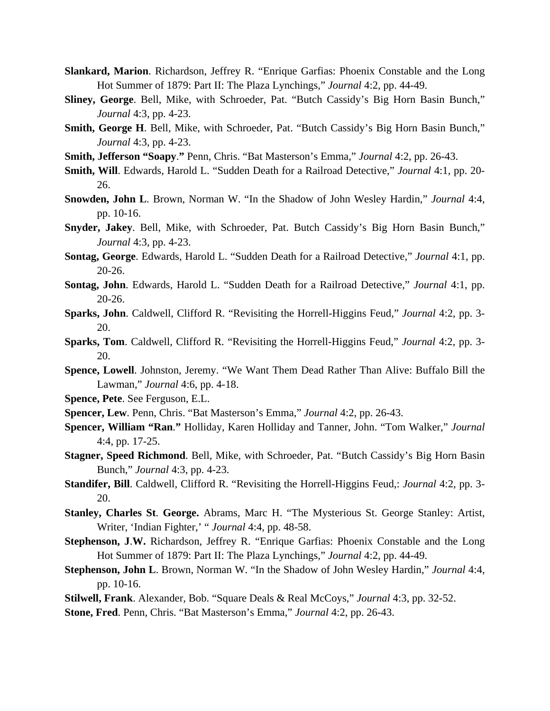- **Slankard, Marion**. Richardson, Jeffrey R. "Enrique Garfias: Phoenix Constable and the Long Hot Summer of 1879: Part II: The Plaza Lynchings," *Journal* 4:2, pp. 44-49.
- **Sliney, George**. Bell, Mike, with Schroeder, Pat. "Butch Cassidy's Big Horn Basin Bunch," *Journal* 4:3, pp. 4-23.
- **Smith, George H**. Bell, Mike, with Schroeder, Pat. "Butch Cassidy's Big Horn Basin Bunch," *Journal* 4:3, pp. 4-23.
- **Smith, Jefferson "Soapy**.**"** Penn, Chris. "Bat Masterson's Emma," *Journal* 4:2, pp. 26-43.
- **Smith, Will**. Edwards, Harold L. "Sudden Death for a Railroad Detective," *Journal* 4:1, pp. 20- 26.
- **Snowden, John L**. Brown, Norman W. "In the Shadow of John Wesley Hardin," *Journal* 4:4, pp. 10-16.
- **Snyder, Jakey**. Bell, Mike, with Schroeder, Pat. Butch Cassidy's Big Horn Basin Bunch," *Journal* 4:3, pp. 4-23.
- **Sontag, George**. Edwards, Harold L. "Sudden Death for a Railroad Detective," *Journal* 4:1, pp. 20-26.
- **Sontag, John**. Edwards, Harold L. "Sudden Death for a Railroad Detective," *Journal* 4:1, pp. 20-26.
- **Sparks, John**. Caldwell, Clifford R. "Revisiting the Horrell-Higgins Feud," *Journal* 4:2, pp. 3- 20.
- **Sparks, Tom**. Caldwell, Clifford R. "Revisiting the Horrell-Higgins Feud," *Journal* 4:2, pp. 3- 20.
- **Spence, Lowell**. Johnston, Jeremy. "We Want Them Dead Rather Than Alive: Buffalo Bill the Lawman," *Journal* 4:6, pp. 4-18.
- **Spence, Pete**. See Ferguson, E.L.
- **Spencer, Lew**. Penn, Chris. "Bat Masterson's Emma," *Journal* 4:2, pp. 26-43.
- **Spencer, William "Ran**.**"** Holliday, Karen Holliday and Tanner, John. "Tom Walker," *Journal* 4:4, pp. 17-25.
- **Stagner, Speed Richmond**. Bell, Mike, with Schroeder, Pat. "Butch Cassidy's Big Horn Basin Bunch," *Journal* 4:3, pp. 4-23.
- **Standifer, Bill**. Caldwell, Clifford R. "Revisiting the Horrell-Higgins Feud,: *Journal* 4:2, pp. 3- 20.
- **Stanley, Charles St**. **George.** Abrams, Marc H. "The Mysterious St. George Stanley: Artist, Writer, 'Indian Fighter,' " *Journal* 4:4, pp. 48-58.
- **Stephenson, J**.**W.** Richardson, Jeffrey R. "Enrique Garfias: Phoenix Constable and the Long Hot Summer of 1879: Part II: The Plaza Lynchings," *Journal* 4:2, pp. 44-49.
- **Stephenson, John L**. Brown, Norman W. "In the Shadow of John Wesley Hardin," *Journal* 4:4, pp. 10-16.
- **Stilwell, Frank**. Alexander, Bob. "Square Deals & Real McCoys," *Journal* 4:3, pp. 32-52.
- **Stone, Fred**. Penn, Chris. "Bat Masterson's Emma," *Journal* 4:2, pp. 26-43.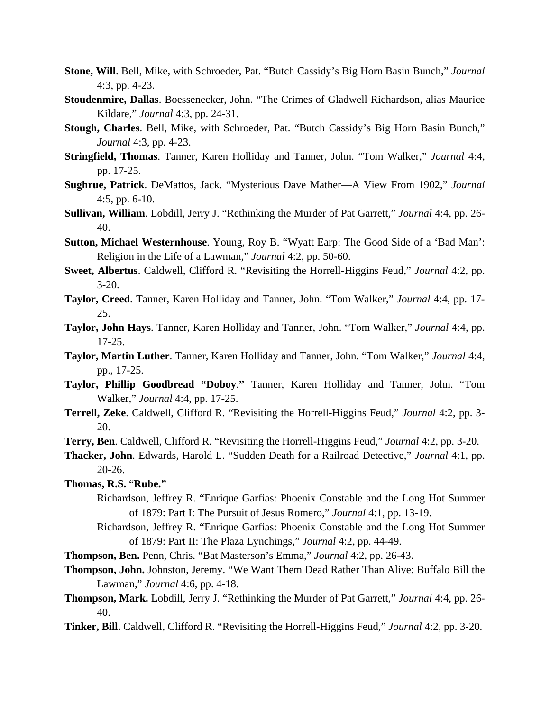- **Stone, Will**. Bell, Mike, with Schroeder, Pat. "Butch Cassidy's Big Horn Basin Bunch," *Journal* 4:3, pp. 4-23.
- **Stoudenmire, Dallas**. Boessenecker, John. "The Crimes of Gladwell Richardson, alias Maurice Kildare," *Journal* 4:3, pp. 24-31.
- **Stough, Charles**. Bell, Mike, with Schroeder, Pat. "Butch Cassidy's Big Horn Basin Bunch," *Journal* 4:3, pp. 4-23.
- **Stringfield, Thomas**. Tanner, Karen Holliday and Tanner, John. "Tom Walker," *Journal* 4:4, pp. 17-25.
- **Sughrue, Patrick**. DeMattos, Jack. "Mysterious Dave Mather—A View From 1902," *Journal* 4:5, pp. 6-10.
- **Sullivan, William**. Lobdill, Jerry J. "Rethinking the Murder of Pat Garrett," *Journal* 4:4, pp. 26- 40.
- **Sutton, Michael Westernhouse**. Young, Roy B. "Wyatt Earp: The Good Side of a 'Bad Man': Religion in the Life of a Lawman," *Journal* 4:2, pp. 50-60.
- **Sweet, Albertus**. Caldwell, Clifford R. "Revisiting the Horrell-Higgins Feud," *Journal* 4:2, pp. 3-20.
- **Taylor, Creed**. Tanner, Karen Holliday and Tanner, John. "Tom Walker," *Journal* 4:4, pp. 17- 25.
- **Taylor, John Hays**. Tanner, Karen Holliday and Tanner, John. "Tom Walker," *Journal* 4:4, pp. 17-25.
- **Taylor, Martin Luther**. Tanner, Karen Holliday and Tanner, John. "Tom Walker," *Journal* 4:4, pp., 17-25.
- **Taylor, Phillip Goodbread "Doboy**.**"** Tanner, Karen Holliday and Tanner, John. "Tom Walker," *Journal* 4:4, pp. 17-25.
- **Terrell, Zeke**. Caldwell, Clifford R. "Revisiting the Horrell-Higgins Feud," *Journal* 4:2, pp. 3- 20.
- **Terry, Ben**. Caldwell, Clifford R. "Revisiting the Horrell-Higgins Feud," *Journal* 4:2, pp. 3-20.
- **Thacker, John**. Edwards, Harold L. "Sudden Death for a Railroad Detective," *Journal* 4:1, pp. 20-26.
- **Thomas, R.S.** "**Rube."** 
	- Richardson, Jeffrey R. "Enrique Garfias: Phoenix Constable and the Long Hot Summer of 1879: Part I: The Pursuit of Jesus Romero," *Journal* 4:1, pp. 13-19.
	- Richardson, Jeffrey R. "Enrique Garfias: Phoenix Constable and the Long Hot Summer of 1879: Part II: The Plaza Lynchings," *Journal* 4:2, pp. 44-49.
- **Thompson, Ben.** Penn, Chris. "Bat Masterson's Emma," *Journal* 4:2, pp. 26-43.
- **Thompson, John.** Johnston, Jeremy. "We Want Them Dead Rather Than Alive: Buffalo Bill the Lawman," *Journal* 4:6, pp. 4-18.
- **Thompson, Mark.** Lobdill, Jerry J. "Rethinking the Murder of Pat Garrett," *Journal* 4:4, pp. 26- 40.
- **Tinker, Bill.** Caldwell, Clifford R. "Revisiting the Horrell-Higgins Feud," *Journal* 4:2, pp. 3-20.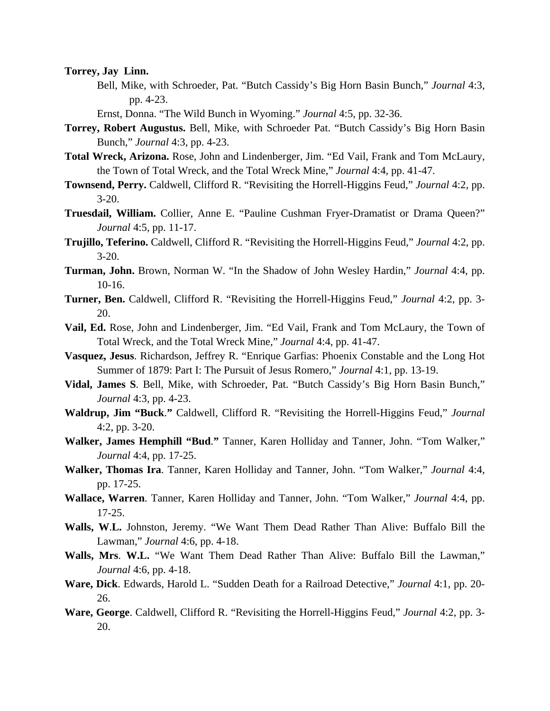**Torrey, Jay Linn.**

- Bell, Mike, with Schroeder, Pat. "Butch Cassidy's Big Horn Basin Bunch," *Journal* 4:3, pp. 4-23.
- Ernst, Donna. "The Wild Bunch in Wyoming." *Journal* 4:5, pp. 32-36.
- **Torrey, Robert Augustus.** Bell, Mike, with Schroeder Pat. "Butch Cassidy's Big Horn Basin Bunch," *Journal* 4:3, pp. 4-23.
- **Total Wreck, Arizona.** Rose, John and Lindenberger, Jim. "Ed Vail, Frank and Tom McLaury, the Town of Total Wreck, and the Total Wreck Mine," *Journal* 4:4, pp. 41-47.
- **Townsend, Perry.** Caldwell, Clifford R. "Revisiting the Horrell-Higgins Feud," *Journal* 4:2, pp. 3-20.
- **Truesdail, William.** Collier, Anne E. "Pauline Cushman Fryer-Dramatist or Drama Queen?" *Journal* 4:5, pp. 11-17.
- **Trujillo, Teferino.** Caldwell, Clifford R. "Revisiting the Horrell-Higgins Feud," *Journal* 4:2, pp. 3-20.
- **Turman, John.** Brown, Norman W. "In the Shadow of John Wesley Hardin," *Journal* 4:4, pp. 10-16.
- **Turner, Ben.** Caldwell, Clifford R. "Revisiting the Horrell-Higgins Feud," *Journal* 4:2, pp. 3- 20.
- **Vail, Ed.** Rose, John and Lindenberger, Jim. "Ed Vail, Frank and Tom McLaury, the Town of Total Wreck, and the Total Wreck Mine," *Journal* 4:4, pp. 41-47.
- **Vasquez, Jesus**. Richardson, Jeffrey R. "Enrique Garfias: Phoenix Constable and the Long Hot Summer of 1879: Part I: The Pursuit of Jesus Romero," *Journal* 4:1, pp. 13-19.
- **Vidal, James S**. Bell, Mike, with Schroeder, Pat. "Butch Cassidy's Big Horn Basin Bunch," *Journal* 4:3, pp. 4-23.
- **Waldrup, Jim "Buck**.**"** Caldwell, Clifford R. "Revisiting the Horrell-Higgins Feud," *Journal* 4:2, pp. 3-20.
- **Walker, James Hemphill "Bud**.**"** Tanner, Karen Holliday and Tanner, John. "Tom Walker," *Journal* 4:4, pp. 17-25.
- **Walker, Thomas Ira**. Tanner, Karen Holliday and Tanner, John. "Tom Walker," *Journal* 4:4, pp. 17-25.
- **Wallace, Warren**. Tanner, Karen Holliday and Tanner, John. "Tom Walker," *Journal* 4:4, pp. 17-25.
- **Walls, W**.**L.** Johnston, Jeremy. "We Want Them Dead Rather Than Alive: Buffalo Bill the Lawman," *Journal* 4:6, pp. 4-18.
- **Walls, Mrs**. **W.L.** "We Want Them Dead Rather Than Alive: Buffalo Bill the Lawman," *Journal* 4:6, pp. 4-18.
- **Ware, Dick**. Edwards, Harold L. "Sudden Death for a Railroad Detective," *Journal* 4:1, pp. 20- 26.
- **Ware, George**. Caldwell, Clifford R. "Revisiting the Horrell-Higgins Feud," *Journal* 4:2, pp. 3- 20.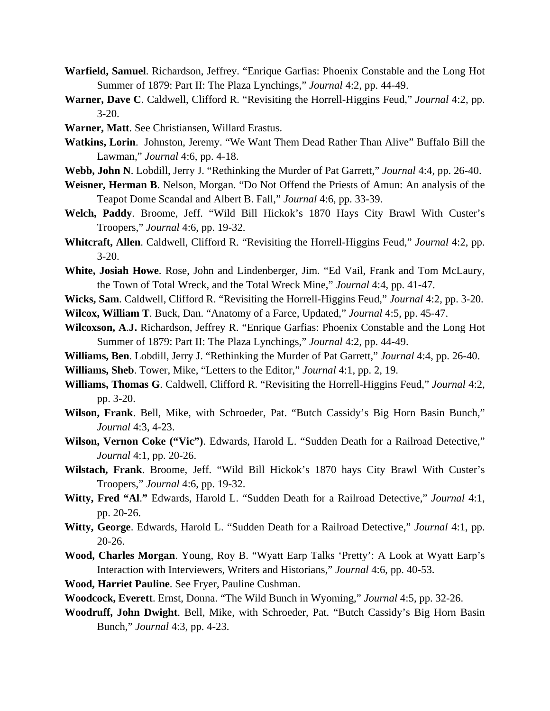- **Warfield, Samuel**. Richardson, Jeffrey. "Enrique Garfias: Phoenix Constable and the Long Hot Summer of 1879: Part II: The Plaza Lynchings," *Journal* 4:2, pp. 44-49.
- **Warner, Dave C**. Caldwell, Clifford R. "Revisiting the Horrell-Higgins Feud," *Journal* 4:2, pp. 3-20.
- **Warner, Matt**. See Christiansen, Willard Erastus.
- **Watkins, Lorin**. Johnston, Jeremy. "We Want Them Dead Rather Than Alive" Buffalo Bill the Lawman," *Journal* 4:6, pp. 4-18.
- **Webb, John N**. Lobdill, Jerry J. "Rethinking the Murder of Pat Garrett," *Journal* 4:4, pp. 26-40.
- **Weisner, Herman B**. Nelson, Morgan. "Do Not Offend the Priests of Amun: An analysis of the Teapot Dome Scandal and Albert B. Fall," *Journal* 4:6, pp. 33-39.
- **Welch, Paddy**. Broome, Jeff. "Wild Bill Hickok's 1870 Hays City Brawl With Custer's Troopers," *Journal* 4:6, pp. 19-32.
- **Whitcraft, Allen**. Caldwell, Clifford R. "Revisiting the Horrell-Higgins Feud," *Journal* 4:2, pp. 3-20.
- **White, Josiah Howe**. Rose, John and Lindenberger, Jim. "Ed Vail, Frank and Tom McLaury, the Town of Total Wreck, and the Total Wreck Mine," *Journal* 4:4, pp. 41-47.
- **Wicks, Sam**. Caldwell, Clifford R. "Revisiting the Horrell-Higgins Feud," *Journal* 4:2, pp. 3-20.
- **Wilcox, William T**. Buck, Dan. "Anatomy of a Farce, Updated," *Journal* 4:5, pp. 45-47.
- **Wilcoxson, A**.**J.** Richardson, Jeffrey R. "Enrique Garfias: Phoenix Constable and the Long Hot Summer of 1879: Part II: The Plaza Lynchings," *Journal* 4:2, pp. 44-49.
- **Williams, Ben**. Lobdill, Jerry J. "Rethinking the Murder of Pat Garrett," *Journal* 4:4, pp. 26-40.
- **Williams, Sheb**. Tower, Mike, "Letters to the Editor," *Journal* 4:1, pp. 2, 19.
- **Williams, Thomas G**. Caldwell, Clifford R. "Revisiting the Horrell-Higgins Feud," *Journal* 4:2, pp. 3-20.
- **Wilson, Frank**. Bell, Mike, with Schroeder, Pat. "Butch Cassidy's Big Horn Basin Bunch," *Journal* 4:3, 4-23.
- **Wilson, Vernon Coke ("Vic")**. Edwards, Harold L. "Sudden Death for a Railroad Detective," *Journal* 4:1, pp. 20-26.
- **Wilstach, Frank**. Broome, Jeff. "Wild Bill Hickok's 1870 hays City Brawl With Custer's Troopers," *Journal* 4:6, pp. 19-32.
- **Witty, Fred "Al**.**"** Edwards, Harold L. "Sudden Death for a Railroad Detective," *Journal* 4:1, pp. 20-26.
- **Witty, George**. Edwards, Harold L. "Sudden Death for a Railroad Detective," *Journal* 4:1, pp. 20-26.
- **Wood, Charles Morgan**. Young, Roy B. "Wyatt Earp Talks 'Pretty': A Look at Wyatt Earp's Interaction with Interviewers, Writers and Historians," *Journal* 4:6, pp. 40-53.
- **Wood, Harriet Pauline**. See Fryer, Pauline Cushman.
- **Woodcock, Everett**. Ernst, Donna. "The Wild Bunch in Wyoming," *Journal* 4:5, pp. 32-26.
- **Woodruff, John Dwight**. Bell, Mike, with Schroeder, Pat. "Butch Cassidy's Big Horn Basin Bunch," *Journal* 4:3, pp. 4-23.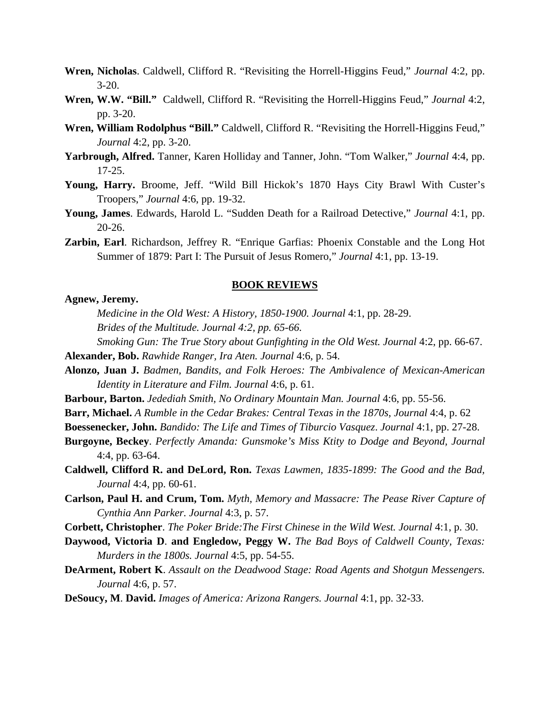- **Wren, Nicholas**. Caldwell, Clifford R. "Revisiting the Horrell-Higgins Feud," *Journal* 4:2, pp. 3-20.
- **Wren, W.W. "Bill."** Caldwell, Clifford R. "Revisiting the Horrell-Higgins Feud," *Journal* 4:2, pp. 3-20.
- **Wren, William Rodolphus "Bill."** Caldwell, Clifford R. "Revisiting the Horrell-Higgins Feud," *Journal* 4:2, pp. 3-20.
- **Yarbrough, Alfred.** Tanner, Karen Holliday and Tanner, John. "Tom Walker," *Journal* 4:4, pp. 17-25.
- **Young, Harry.** Broome, Jeff. "Wild Bill Hickok's 1870 Hays City Brawl With Custer's Troopers," *Journal* 4:6, pp. 19-32.
- **Young, James**. Edwards, Harold L. "Sudden Death for a Railroad Detective," *Journal* 4:1, pp. 20-26.
- **Zarbin, Earl**. Richardson, Jeffrey R. "Enrique Garfias: Phoenix Constable and the Long Hot Summer of 1879: Part I: The Pursuit of Jesus Romero," *Journal* 4:1, pp. 13-19.

#### **BOOK REVIEWS**

## **Agnew, Jeremy.**

- *Medicine in the Old West: A History, 1850-1900. Journal* 4:1, pp. 28-29.
- *Brides of the Multitude. Journal 4:2, pp. 65-66.*

 *Smoking Gun: The True Story about Gunfighting in the Old West. Journal* 4:2, pp. 66-67.

- **Alexander, Bob.** *Rawhide Ranger, Ira Aten. Journal* 4:6, p. 54.
- **Alonzo, Juan J.** *Badmen, Bandits, and Folk Heroes: The Ambivalence of Mexican-American Identity in Literature and Film. Journal* 4:6, p. 61.
- **Barbour, Barton.** *Jedediah Smith, No Ordinary Mountain Man. Journal* 4:6, pp. 55-56.
- **Barr, Michael.** *A Rumble in the Cedar Brakes: Central Texas in the 1870s, Journal* 4:4, p. 62

**Boessenecker, John.** *Bandido: The Life and Times of Tiburcio Vasquez*. *Journal* 4:1, pp. 27-28.

- **Burgoyne, Beckey**. *Perfectly Amanda: Gunsmoke's Miss Ktity to Dodge and Beyond, Journal* 4:4, pp. 63-64.
- **Caldwell, Clifford R. and DeLord, Ron.** *Texas Lawmen, 1835-1899: The Good and the Bad, Journal* 4:4, pp. 60-61.
- **Carlson, Paul H. and Crum, Tom.** *Myth, Memory and Massacre: The Pease River Capture of Cynthia Ann Parker. Journal* 4:3, p. 57.
- **Corbett, Christopher**. *The Poker Bride:The First Chinese in the Wild West. Journal* 4:1, p. 30.
- **Daywood, Victoria D**. **and Engledow, Peggy W.** *The Bad Boys of Caldwell County, Texas: Murders in the 1800s. Journal* 4:5, pp. 54-55.
- **DeArment, Robert K**. *Assault on the Deadwood Stage: Road Agents and Shotgun Messengers. Journal* 4:6, p. 57.
- **DeSoucy, M**. **David.** *Images of America: Arizona Rangers. Journal* 4:1, pp. 32-33.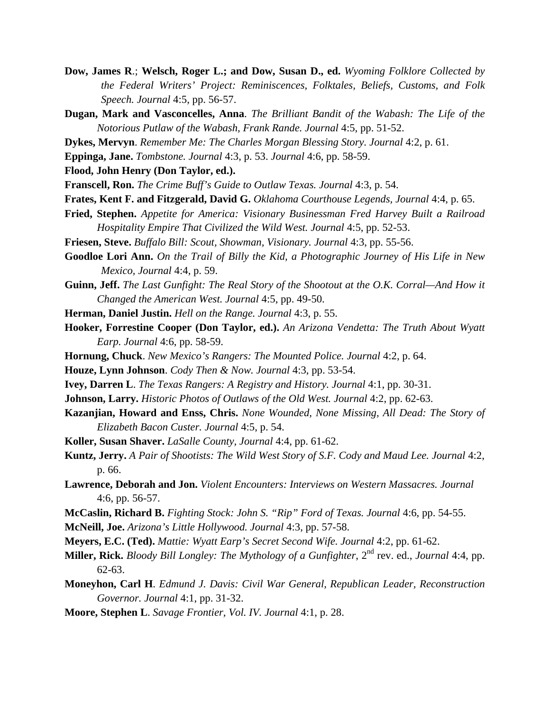- **Dow, James R**.; **Welsch, Roger L.; and Dow, Susan D., ed.** *Wyoming Folklore Collected by the Federal Writers' Project: Reminiscences, Folktales, Beliefs, Customs, and Folk Speech. Journal* 4:5, pp. 56-57.
- **Dugan, Mark and Vasconcelles, Anna**. *The Brilliant Bandit of the Wabash: The Life of the Notorious Putlaw of the Wabash, Frank Rande. Journal* 4:5, pp. 51-52.
- **Dykes, Mervyn**. *Remember Me: The Charles Morgan Blessing Story. Journal* 4:2, p. 61.
- **Eppinga, Jane.** *Tombstone. Journal* 4:3, p. 53. *Journal* 4:6, pp. 58-59.
- **Flood, John Henry (Don Taylor, ed.).**
- **Franscell, Ron.** *The Crime Buff's Guide to Outlaw Texas. Journal* 4:3, p. 54.
- **Frates, Kent F. and Fitzgerald, David G.** *Oklahoma Courthouse Legends, Journal* 4:4, p. 65.
- **Fried, Stephen.** *Appetite for America: Visionary Businessman Fred Harvey Built a Railroad Hospitality Empire That Civilized the Wild West. Journal* 4:5, pp. 52-53.
- **Friesen, Steve.** *Buffalo Bill: Scout, Showman, Visionary. Journal* 4:3, pp. 55-56.
- **Goodloe Lori Ann.** *On the Trail of Billy the Kid, a Photographic Journey of His Life in New Mexico, Journal* 4:4, p. 59.
- **Guinn, Jeff.** *The Last Gunfight: The Real Story of the Shootout at the O.K. Corral—And How it Changed the American West. Journal* 4:5, pp. 49-50.
- **Herman, Daniel Justin.** *Hell on the Range. Journal* 4:3, p. 55.
- **Hooker, Forrestine Cooper (Don Taylor, ed.).** *An Arizona Vendetta: The Truth About Wyatt Earp. Journal* 4:6, pp. 58-59.
- **Hornung, Chuck**. *New Mexico's Rangers: The Mounted Police. Journal* 4:2, p. 64.
- **Houze, Lynn Johnson**. *Cody Then & Now. Journal* 4:3, pp. 53-54.
- **Ivey, Darren L**. *The Texas Rangers: A Registry and History. Journal* 4:1, pp. 30-31.
- **Johnson, Larry.** *Historic Photos of Outlaws of the Old West. Journal* 4:2, pp. 62-63.
- **Kazanjian, Howard and Enss, Chris.** *None Wounded, None Missing, All Dead: The Story of Elizabeth Bacon Custer. Journal* 4:5, p. 54.
- **Koller, Susan Shaver.** *LaSalle County, Journal* 4:4, pp. 61-62.
- **Kuntz, Jerry.** *A Pair of Shootists: The Wild West Story of S.F. Cody and Maud Lee. Journal* 4:2, p. 66.
- **Lawrence, Deborah and Jon.** *Violent Encounters: Interviews on Western Massacres. Journal* 4:6, pp. 56-57.
- **McCaslin, Richard B.** *Fighting Stock: John S. "Rip" Ford of Texas. Journal* 4:6, pp. 54-55.
- **McNeill, Joe.** *Arizona's Little Hollywood. Journal* 4:3, pp. 57-58.
- **Meyers, E.C. (Ted).** *Mattie: Wyatt Earp's Secret Second Wife. Journal* 4:2, pp. 61-62.
- **Miller, Rick.** *Bloody Bill Longley: The Mythology of a Gunfighter*,  $2^{nd}$  rev. ed., *Journal* 4:4, pp. 62-63.
- **Moneyhon, Carl H**. *Edmund J. Davis: Civil War General, Republican Leader, Reconstruction Governor. Journal* 4:1, pp. 31-32.
- **Moore, Stephen L**. *Savage Frontier, Vol. IV. Journal* 4:1, p. 28.